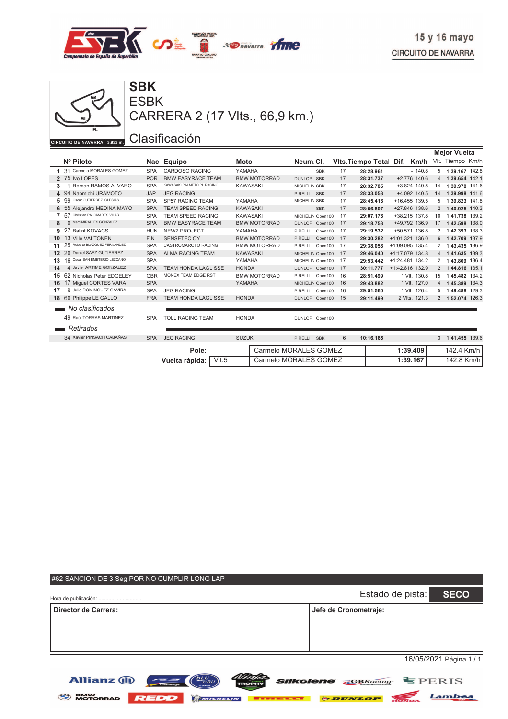



ESBK CARRERA 2 (17 Vlts., 66,9 km.)

|                 |                                  |            |                            |                       |                           |    |                    |                   |                | <b>Mejor Vuelta</b> |
|-----------------|----------------------------------|------------|----------------------------|-----------------------|---------------------------|----|--------------------|-------------------|----------------|---------------------|
|                 | Nº Piloto                        |            | Nac Equipo                 | <b>Moto</b>           | Neum Cl.                  |    | Vits. Tiempo Total | Dif.<br>Km/h      |                | VIt. Tiempo Km/h    |
|                 | 1 31 Carmelo MORALES GOMEZ       | <b>SPA</b> | <b>CARDOSO RACING</b>      | YAMAHA                | <b>SBK</b>                | 17 | 28:28.961          | $-140.8$          |                | 5 1:39.167 142.8    |
|                 | 2 75 Ivo LOPES                   | <b>POR</b> | <b>BMW EASYRACE TEAM</b>   | <b>BMW MOTORRAD</b>   | DUNLOP SBK                | 17 | 28:31.737          | $+2.776$ 140.6    | $\overline{4}$ | 1:39.654 142.1      |
| 3               | Roman RAMOS ALVARO               | <b>SPA</b> | KAWASAKI PALMETO PL RACING | <b>KAWASAKI</b>       | MICHELIN SBK              | 17 | 28:32.785          | +3.824 140.5      | 14             | 1:39.978 141.6      |
| 4               | 94 Naomichi URAMOTO              | <b>JAP</b> | <b>JEG RACING</b>          |                       | <b>SBK</b><br>PIRELLI     | 17 | 28:33.053          | +4.092 140.5      | 14             | 1:39.998 141.6      |
| 5               | Oscar GUTIERREZ IGLESIAS<br>99   | <b>SPA</b> | <b>SP57 RACING TEAM</b>    | YAMAHA                | MICHELIN SBK              | 17 | 28:45.416          | +16.455 139.5     | 5              | 1:39.823 141.8      |
| 6               | 55 Alejandro MEDINA MAYO         | <b>SPA</b> | <b>TEAM SPEED RACING</b>   | <b>KAWASAKI</b>       | <b>SBK</b>                | 17 | 28:56.807          | +27.846 138.6     | 2              | 1:40.925 140.3      |
| 7               | Christian PALOMARES VILAR<br>57  | <b>SPA</b> | <b>TEAM SPEED RACING</b>   | <b>KAWASAKI</b>       | MICHELIN Open100          | 17 | 29:07.176          | +38.215 137.8     | 10             | 1:41.738 139.2      |
|                 | 6 Marc MIRALLES GONZALEZ         | <b>SPA</b> | <b>BMW EASYRACE TEAM</b>   | <b>BMW MOTORRAD</b>   | DUNLOP Open100            | 17 | 29:18.753          | +49.792 136.9     | 17             | 1:42.598 138.0      |
| 9               | <b>Balint KOVACS</b>             | <b>HUN</b> | <b>NEW2 PROJECT</b>        | YAMAHA                | PIRELLI<br>Open100        | 17 | 29:19.532          | +50.571 136.8     | $\overline{2}$ | 1:42.393 138.3      |
| 10              | 13 Ville VALTONEN                | <b>FIN</b> | <b>SENSETEC OY</b>         | <b>BMW MOTORRAD</b>   | <b>PIRELLI</b><br>Open100 | 17 | 29:30.282          | $+1:01.321$ 136.0 | 6              | 1:42.709 137.9      |
| 11              | Roberto BLAZQUEZ FERNANDEZ<br>25 | <b>SPA</b> | <b>CASTROMAROTO RACING</b> | <b>BMW MOTORRAD</b>   | PIRELLI<br>Open100        | 17 | 29:38.056          | +1:09.095 135.4   | $\mathcal{P}$  | 1:43.435 136.9      |
| 12 <sup>2</sup> | 26 Daniel SAEZ GUTIERREZ         | <b>SPA</b> | <b>ALMA RACING TEAM</b>    | <b>KAWASAKI</b>       | MICHELIN Open100          | 17 | 29:46.040          | $+1:17.079$ 134.8 | $\overline{4}$ | 1:41.635 139.3      |
| 13              | 16 Oscar SAN EMETERIO LEZCANO    | <b>SPA</b> |                            | YAMAHA                | MICHELIN Open100          | 17 | 29:53.442          | $+1:24.481$ 134.2 | 2              | 1:43.809 136.4      |
| 14              | 4 Javier ARTIME GONZALEZ         | <b>SPA</b> | <b>TEAM HONDA LAGLISSE</b> | <b>HONDA</b>          | DUNLOP Open100            | 17 | 30:11.777          | +1:42.816 132.9   | $\overline{2}$ | 1:44.816 135.1      |
| 15              | 62 Nicholas Peter EDGELEY        | <b>GBR</b> | MONEX TEAM EDGE RST        | <b>BMW MOTORRAD</b>   | PIRELLI<br>Open100        | 16 | 28:51.499          | 1 VIt. 130.8      | 15             | 1:45.482 134.2      |
| 16              | 17 Miguel CORTES VARA            | <b>SPA</b> |                            | YAMAHA                | MICHELIN Open100          | 16 | 29:43.882          | 1 VIt. 127.0      | $\overline{4}$ | 1:45.389 134.3      |
| 17              | 9 Julio DOMINGUEZ GAVIRA         | <b>SPA</b> | <b>JEG RACING</b>          |                       | PIRELLI<br>Open100        | 16 | 29:51.560          | 1 VIt. 126.4      | 5              | 1:49.488 129.3      |
|                 | 18 66 Philippe LE GALLO          | <b>FRA</b> | <b>TEAM HONDA LAGLISSE</b> | <b>HONDA</b>          | DUNLOP Open100            | 15 | 29:11.499          | 2 Vlts. 121.3     | $\overline{2}$ | 1:52.074 126.3      |
|                 | No clasificados                  |            |                            |                       |                           |    |                    |                   |                |                     |
|                 | 49 Raül TORRAS MARTINEZ          | <b>SPA</b> | <b>TOLL RACING TEAM</b>    | <b>HONDA</b>          | DUNLOP Open100            |    |                    |                   |                |                     |
|                 | Retirados                        |            |                            |                       |                           |    |                    |                   |                |                     |
|                 | 34 Xavier PINSACH CABAÑAS        | <b>SPA</b> | <b>JEG RACING</b>          | <b>SUZUKI</b>         | PIRELLI SBK               | 6  | 10:16.165          |                   | 3              | 1:41.455 139.6      |
|                 |                                  |            | Pole:                      | Carmelo MORALES GOMEZ |                           |    |                    | 1:39.409          |                | 142.4 Km/h          |
|                 |                                  |            | $V$ lt.5<br>Vuelta rápida: |                       | Carmelo MORALES GOMEZ     |    |                    | 1:39.167          |                | 142.8 Km/h          |

| #62 SANCION DE 3 Seg POR NO CUMPLIR LONG LAP                                        |                                         |                         |
|-------------------------------------------------------------------------------------|-----------------------------------------|-------------------------|
| Hora de publicación:                                                                | Estado de pista:                        | <b>SECO</b>             |
| Director de Carrera:                                                                | Jefe de Cronometraje:                   |                         |
|                                                                                     |                                         |                         |
|                                                                                     |                                         |                         |
|                                                                                     |                                         | 16/05/2021 Página 1 / 1 |
| <b>DLU</b><br>CRU<br><b>Allianz (II)</b><br><b><i>Silkolene</i></b><br><b>TROPH</b> | $\overline{\mathbf{G}}$ <b>GBRacing</b> | FERIS                   |
| <b>BMW<br/>MOTORRAD</b><br>٣<br>MICHELIN                                            | <b><i>ODUNLOP</i></b>                   | Lambea                  |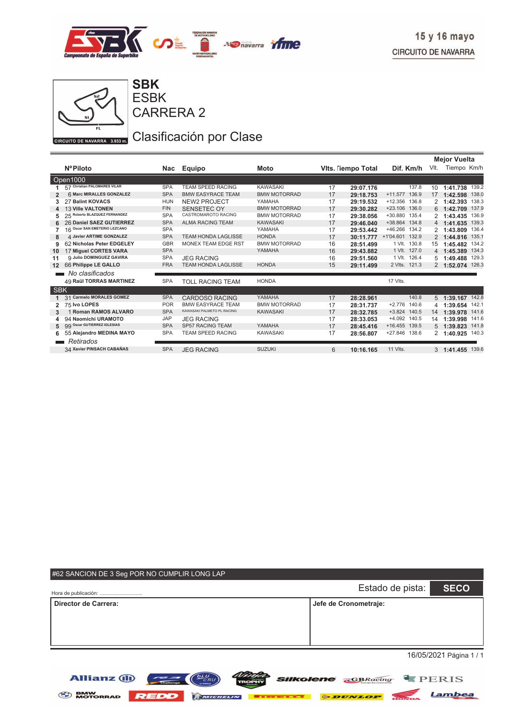

**Mejor Vuelta**



CARRERA 2 ESBK

**SBK**

# Clasificación por Clase

|                |                                 |            |                            |                     |    |                   |                   | <b>Mejor vuelta</b> |                  |       |
|----------------|---------------------------------|------------|----------------------------|---------------------|----|-------------------|-------------------|---------------------|------------------|-------|
|                | <b>NºPiloto</b>                 | Nac        | Equipo                     | Moto                |    | Vits. Tempo Total | Dif. Km/h         | VIt.                | Tiempo Km/h      |       |
|                | Open1000                        |            |                            |                     |    |                   |                   |                     |                  |       |
|                | 57 Christian PALOMARES VILAR    | <b>SPA</b> | <b>TEAM SPEED RACING</b>   | <b>KAWASAKI</b>     | 17 | 29:07.176         | 137.8             | 10                  | 1:41.738 139.2   |       |
| $\overline{2}$ | 6 Marc MIRALLES GONZALEZ        | <b>SPA</b> | <b>BMW EASYRACE TEAM</b>   | <b>BMW MOTORRAD</b> | 17 | 29:18.753         | +11.577 136.9     | 17                  | 1:42.598         | 138.0 |
| 3              | 27 Balint KOVACS                | <b>HUN</b> | <b>NEW2 PROJECT</b>        | YAMAHA              | 17 | 29:19.532         | +12.356 136.8     | 2                   | 1:42.393         | 138.3 |
|                | <b>13 Ville VALTONEN</b>        | <b>FIN</b> | SENSETEC OY                | <b>BMW MOTORRAD</b> | 17 | 29:30.282         | +23.106 136.0     | 6                   | 1:42.709         | 137.9 |
| 5              | 25 Roberto BLAZQUEZ FERNANDEZ   | <b>SPA</b> | CASTROMAROTO RACING        | <b>BMW MOTORRAD</b> | 17 | 29:38.056         | +30.880 135.4     |                     | 1:43.435         | 136.9 |
| 6              | 26 Daniel SAEZ GUTIERREZ        | <b>SPA</b> | <b>ALMA RACING TEAM</b>    | <b>KAWASAKI</b>     | 17 | 29:46.040         | +38.864 134.8     |                     | 4 1:41.635 139.3 |       |
|                | 16 Oscar SAN EMETERIO LEZCANO   | <b>SPA</b> |                            | YAMAHA              | 17 | 29:53.442         | +46.266 134.2     |                     | 1:43.809         | 136.4 |
| 8              | 4 Javier ARTIME GONZALEZ        | <b>SPA</b> | <b>TEAM HONDA LAGLISSE</b> | <b>HONDA</b>        | 17 | 30:11.777         | +1'04.601 132.9   |                     | 2 1:44.816       | 135.1 |
| 9              | 62 Nicholas Peter EDGELEY       | <b>GBR</b> | <b>MONEX TEAM EDGE RST</b> | <b>BMW MOTORRAD</b> | 16 | 28:51.499         | 1 VIt. 130.8      | 15                  | 1:45.482         | 134.2 |
| 10             | 17 Miguel CORTES VARA           | <b>SPA</b> |                            | YAMAHA              | 16 | 29:43.882         | 1 VIt. 127.0      |                     | 4 1:45.389 134.3 |       |
| 11             | <b>9 Julio DOMINGUEZ GAVIRA</b> | <b>SPA</b> | <b>JEG RACING</b>          |                     | 16 | 29:51.560         | 1 VIt. 126.4      | 5                   | 1:49.488         | 129.3 |
| 12             | 66 Philippe LE GALLO            | <b>FRA</b> | <b>TEAM HONDA LAGLISSE</b> | <b>HONDA</b>        | 15 | 29:11.499         | 2 Vlts. 121.3     |                     | 2 1:52.074 126.3 |       |
|                | No clasificados                 |            |                            |                     |    |                   |                   |                     |                  |       |
|                | <b>49 Raül TORRAS MARTINEZ</b>  | <b>SPA</b> | <b>TOLL RACING TEAM</b>    | <b>HONDA</b>        |    |                   | 17 VIts.          |                     |                  |       |
| <b>SBK</b>     |                                 |            |                            |                     |    |                   |                   |                     |                  |       |
|                | 31 Carmelo MORALES GOMEZ        | <b>SPA</b> | <b>CARDOSO RACING</b>      | YAMAHA              | 17 | 28:28.961         | 140.8             | 5 <sup>5</sup>      | 1:39.167 142.8   |       |
|                | 75 Ivo LOPES                    | <b>POR</b> | <b>BMW EASYRACE TEAM</b>   | <b>BMW MOTORRAD</b> | 17 | 28:31.737         | 140.6<br>$+2.776$ | 4                   | 1:39.654 142.1   |       |
| 3              | 1 Roman RAMOS ALVARO            | <b>SPA</b> | KAWASAKI PALMETO PL RACING | <b>KAWASAKI</b>     | 17 | 28:32.785         | $+3.824$ 140.5    | 14                  | 1:39.978 141.6   |       |
| 4              | 94 Naomichi URAMOTO             | <b>JAP</b> | <b>JEG RACING</b>          |                     | 17 | 28:33.053         | +4.092 140.5      | 14                  | 1:39.998         | 141.6 |
| 5              | 99 Oscar GUTIERREZ IGLESIAS     | <b>SPA</b> | <b>SP57 RACING TEAM</b>    | YAMAHA              | 17 | 28:45.416         | +16.455 139.5     | 5                   | 1:39.823         | 141.8 |
| 6              | 55 Alejandro MEDINA MAYO        | <b>SPA</b> | TEAM SPEED RACING          | <b>KAWASAKI</b>     | 17 | 28:56.807         | +27.846 138.6     |                     | 1:40.925 140.3   |       |
|                | <b>Retirados</b>                |            |                            |                     |    |                   |                   |                     |                  |       |
|                | 34 Xavier PINSACH CABAÑAS       | <b>SPA</b> | <b>JEG RACING</b>          | <b>SUZUKI</b>       | 6  | 10:16.165         | 11 VIts.          |                     | 3 1:41.455 139.6 |       |
|                |                                 |            |                            |                     |    |                   |                   |                     |                  |       |

| #62 SANCION DE 3 Seg POR NO CUMPLIR LONG LAP |                       |                         |
|----------------------------------------------|-----------------------|-------------------------|
| Hora de publicación:                         | Estado de pista:      | <b>SECO</b>             |
| <b>Director de Carrera:</b>                  | Jefe de Cronometraje: |                         |
|                                              |                       | 16/05/2021 Página 1 / 1 |

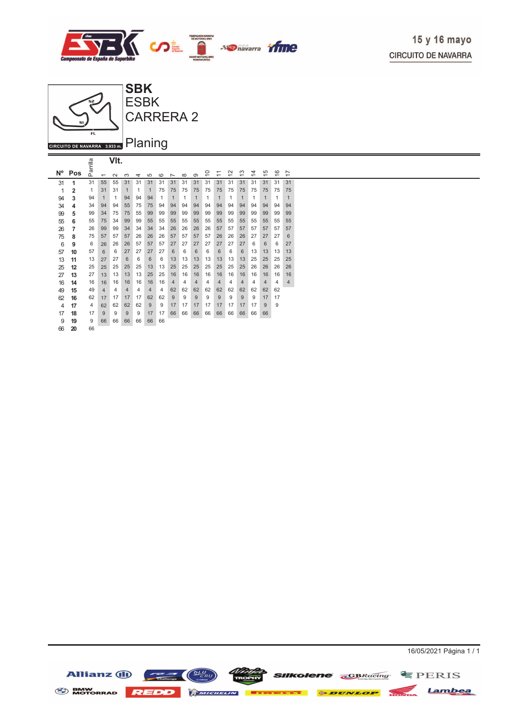

16/05/2021 Página 1 / 1



|                |                |          |                          | VIt.   |                |                |                |         |                          |          |                |    |                               |                                               |                               |                               |                               |                               |                               |  |
|----------------|----------------|----------|--------------------------|--------|----------------|----------------|----------------|---------|--------------------------|----------|----------------|----|-------------------------------|-----------------------------------------------|-------------------------------|-------------------------------|-------------------------------|-------------------------------|-------------------------------|--|
| $N^{\circ}$    | Pos            | Parrilla | $\overline{\phantom{0}}$ | $\sim$ | ო              | 4              | 5              | $\circ$ | $\overline{\phantom{0}}$ | $\infty$ | $\infty$       | ₽  | ᠆<br>$\overline{\phantom{0}}$ | $\mathbf{\Omega}$<br>$\overline{\phantom{0}}$ | S<br>$\overline{\phantom{0}}$ | 4<br>$\overline{\phantom{0}}$ | 5<br>$\overline{\phantom{0}}$ | ဖ<br>$\overline{\phantom{0}}$ | N<br>$\overline{\phantom{0}}$ |  |
| 31             | 1              | 31       | 55                       | 55     | 31             | 31             | 31             | 31      | 31                       | 31       | 31             | 31 | 31                            | 31                                            | 31                            | 31                            | 31                            | 31                            | 31                            |  |
| 1              | $\overline{2}$ | 1        | 31                       | 31     | 1              | 1              | 1              | 75      | 75                       | 75       | 75             | 75 | 75                            | 75                                            | 75                            | 75                            | 75                            | 75                            | 75                            |  |
| 94             | 3              | 94       | $\mathbf{1}$             | 1      | 94             | 94             | 94             | 1       | $\mathbf{1}$             | 1        | $\mathbf{1}$   | 1  | $\mathbf{1}$                  | 1                                             | $\mathbf{1}$                  | 1                             | $\mathbf{1}$                  | 1                             | $\mathbf{1}$                  |  |
| 34             | 4              | 34       | 94                       | 94     | 55             | 75             | 75             | 94      | 94                       | 94       | 94             | 94 | 94                            | 94                                            | 94                            | 94                            | 94                            | 94                            | 94                            |  |
| 99             | 5              | 99       | 34                       | 75     | 75             | 55             | 99             | 99      | 99                       | 99       | 99             | 99 | 99                            | 99                                            | 99                            | 99                            | 99                            | 99                            | 99                            |  |
| 55             | 6              | 55       | 75                       | 34     | 99             | 99             | 55             | 55      | 55                       | 55       | 55             | 55 | 55                            | 55                                            | 55                            | 55                            | 55                            | 55                            | 55                            |  |
| 26             | 7              | 26       | 99                       | 99     | 34             | 34             | 34             | 34      | 26                       | 26       | 26             | 26 | 57                            | 57                                            | 57                            | 57                            | 57                            | 57                            | 57                            |  |
| 75             | 8              | 75       | 57                       | 57     | 57             | 26             | 26             | 26      | 57                       | 57       | 57             | 57 | 26                            | 26                                            | 26                            | 27                            | 27                            | 27                            | 6                             |  |
| 6              | 9              | 6        | 26                       | 26     | 26             | 57             | 57             | 57      | 27                       | 27       | 27             | 27 | 27                            | 27                                            | 27                            | 6                             | 6                             | 6                             | 27                            |  |
| 57             | 10             | 57       | 6                        | 6      | 27             | 27             | 27             | 27      | 6                        | 6        | 6              | 6  | 6                             | 6                                             | 6                             | 13                            | 13                            | 13                            | 13                            |  |
| 13             | 11             | 13       | 27                       | 27     | 6              | 6              | 6              | 6       | 13                       | 13       | 13             | 13 | 13                            | 13                                            | 13                            | 25                            | 25                            | 25                            | 25                            |  |
| 25             | 12             | 25       | 25                       | 25     | 25             | 25             | 13             | 13      | 25                       | 25       | 25             | 25 | 25                            | 25                                            | 25                            | 26                            | 26                            | 26                            | 26                            |  |
| 27             | 13             | 27       | 13                       | 13     | 13             | 13             | 25             | 25      | 16                       | 16       | 16             | 16 | 16                            | 16                                            | 16                            | 16                            | 16                            | 16                            | 16                            |  |
| 16             | 14             | 16       | 16                       | 16     | 16             | 16             | 16             | 16      | $\overline{4}$           | 4        | $\overline{4}$ | 4  | $\overline{4}$                | 4                                             | $\overline{4}$                | 4                             | $\overline{4}$                | $\overline{4}$                | $\overline{4}$                |  |
| 49             | 15             | 49       | $\overline{4}$           | 4      | $\overline{4}$ | $\overline{4}$ | $\overline{4}$ | 4       | 62                       | 62       | 62             | 62 | 62                            | 62                                            | 62                            | 62                            | 62                            | 62                            |                               |  |
| 62             | 16             | 62       | 17                       | 17     | 17             | 17             | 62             | 62      | 9                        | 9        | 9              | 9  | 9                             | 9                                             | 9                             | 9                             | 17                            | 17                            |                               |  |
| $\overline{4}$ | 17             | 4        | 62                       | 62     | 62             | 62             | 9              | 9       | 17                       | 17       | 17             | 17 | 17                            | 17                                            | 17                            | 17                            | 9                             | 9                             |                               |  |
| 17             | 18             | 17       | 9                        | 9      | 9              | 9              | 17             | 17      | 66                       | 66       | 66             | 66 | 66                            | 66                                            | 66                            | 66                            | 66                            |                               |                               |  |
| 9              | 19             | 9        | 66                       | 66     | 66             | 66             | 66             | 66      |                          |          |                |    |                               |                                               |                               |                               |                               |                               |                               |  |
| 66             | 20             | 66       |                          |        |                |                |                |         |                          |          |                |    |                               |                                               |                               |                               |                               |                               |                               |  |

Allianz (1) **SIIKolene** convaring EPERIS Lambea BMW MOTORRAD **REDD AMICHELIA BELLET GOUNLOP**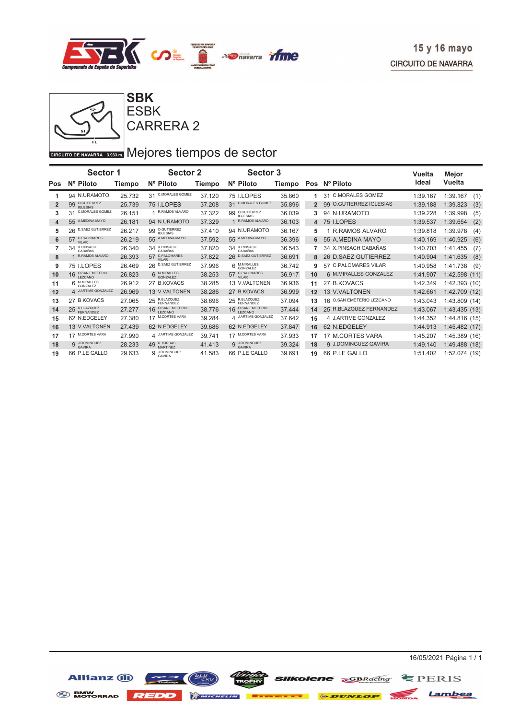

**SBK**

CARRERA 2 ESBK

## GIRCUITO DE NAVARRA 3.933 DI Mejores tiempos de sector

|     | <b>Sector 1</b>                      |               | <b>Sector 2</b>                               |               | <b>Sector 3</b>                               |        |     |                                   | Vuelta   | Mejor            |
|-----|--------------------------------------|---------------|-----------------------------------------------|---------------|-----------------------------------------------|--------|-----|-----------------------------------|----------|------------------|
| Pos | Nº Piloto                            | <b>Tiempo</b> | Nº Piloto                                     | <b>Tiempo</b> | Nº Piloto                                     | Tiempo | Pos | Nº Piloto                         | Ideal    | Vuelta           |
|     | 94 N.URAMOTO                         | 25.732        | <b>C.MORALES GOMEZ</b><br>31                  | 37.120        | 75 I.LOPES                                    | 35.860 |     | 31 C.MORALES GOMEZ                | 1:39.167 | 1:39.167<br>(1)  |
| 2   | 99 O.GUTIERREZ<br><b>IGLESIAS</b>    | 25.739        | 75 I.LOPES                                    | 37.208        | <b>C.MORALES GOMEZ</b><br>31                  | 35.896 |     | <b>O.GUTIERREZ IGLESIAS</b><br>99 | 1:39.188 | 1:39.823<br>(3)  |
| 3   | <b>C.MORALES GOMEZ</b><br>31         | 26.151        | 1 R.RAMOS ALVARO                              | 37.322        | O.GUTIERREZ<br>99<br><b>IGLESIAS</b>          | 36.039 | 3   | N.URAMOTO<br>94                   | 1:39.228 | 1:39.998<br>(5)  |
| 4   | A.MEDINA MAYO<br>55                  | 26.181        | 94 N.URAMOTO                                  | 37.329        | R.RAMOS ALVARO                                | 36.103 | 4   | 75 I.LOPES                        | 1:39.537 | (2)<br>1:39.654  |
| 5   | <b>D.SAEZ GUTIERREZ</b><br>26        | 26.217        | O.GUTIERREZ<br>99<br><b>IGLESIAS</b>          | 37.410        | 94 N.URAMOTO                                  | 36.167 | 5   | 1 R.RAMOS ALVARO                  | 1:39.818 | (4)<br>1:39.978  |
| 6   | 57 C.PALOMARES<br>VII AR             | 26.219        | A.MEDINA MAYO<br>55                           | 37.592        | A.MEDINA MAYO<br>55                           | 36.396 |     | 55 A.MEDINA MAYO                  | 1:40.169 | (6)<br>1:40.925  |
| 7   | 34 X.PINSACH<br>CABAÑAS              | 26.340        | 34 X.PINSACH                                  | 37.820        | X.PINSACH<br>CABAÑAS<br>34                    | 36.543 |     | 34 X.PINSACH CABAÑAS              | 1:40.703 | 1:41.455<br>(7)  |
| 8   | R.RAMOS ALVARO                       | 26.393        | C.PALOMARES<br>57<br>VILAR                    | 37.822        | <b>D.SAEZ GUTIERREZ</b><br>26                 | 36.691 | 8   | <b>D.SAEZ GUTIERREZ</b><br>26     | 1:40.904 | 1:41.635<br>(8)  |
| 9   | 75 I.LOPES                           | 26.469        | 26 D.SAEZ GUTIERREZ                           | 37.996        | 6 M.MIRALLES<br>GONZALEZ                      | 36.742 | 9   | 57 C.PALOMARES VILAR              | 1:40.958 | (9)<br>1:41.738  |
| 10  | 16 O.SAN EMETERIO<br><b>I FZCANO</b> | 26.823        | 6 M.MIRALLES                                  | 38.253        | 57 C.PALOMARES                                | 36.917 | 10  | 6 M.MIRALLES GONZALEZ             | 1:41.907 | 1:42.598<br>(11) |
| 11  | M.MIRALLES<br>GONZALEZ               | 26.912        | 27 B.KOVACS                                   | 38.285        | 13 V.VALTONEN                                 | 36.936 | 11  | 27 B.KOVACS                       | 1:42.349 | 1:42.393 (10)    |
| 12  | 4 J.ARTIME GONZALEZ                  | 26.969        | 13 V.VALTONEN                                 | 38.286        | 27 B.KOVACS                                   | 36.999 | 12  | 13 V.VALTONEN                     | 1:42.661 | 1:42.709 (12)    |
| 13  | 27 B.KOVACS                          | 27.065        | 25 R.BLAZQUEZ                                 | 38.696        | R.BLAZQUEZ<br>FERNANDEZ<br>25                 | 37.094 | 13  | O.SAN EMETERIO LEZCANO<br>16      | 1:43.043 | 1:43.809 (14)    |
| 14  | 25 R.BLAZQUEZ                        | 27.277        | <b>O.SAN EMETERIO</b><br>16<br><b>LEZCANO</b> | 38.776        | <b>O.SAN EMETERIO</b><br>16<br><b>LEZCANO</b> | 37.444 | 14  | R.BLAZQUEZ FERNANDEZ<br>25        | 1:43.067 | 1:43.435(13)     |
| 15  | 62 N.EDGELEY                         | 27.380        | <b>M.CORTES VARA</b>                          | 39.284        | 4 J.ARTIME GONZALEZ                           | 37.642 | 15  | 4 J.ARTIME GONZALEZ               | 1:44.352 | 1:44.816 (15)    |
| 16  | 13 V.VALTONEN                        | 27.439        | 62 N.EDGELEY                                  | 39.686        | 62 N.EDGELEY                                  | 37.847 | 16  | 62 N.EDGELEY                      | 1:44.913 | 1:45.482(17)     |
| 17  | <b>M.CORTES VARA</b>                 | 27.990        | 4 J.ARTIME GONZALEZ                           | 39.741        | <b>M.CORTES VARA</b><br>17                    | 37.933 | 17  | 17 M.CORTES VARA                  | 1:45.207 | 1:45.389 (16)    |
| 18  | 9 J.DOMINGUEZ<br><b>GAVIRA</b>       | 28.233        | 49 R.TORRAS<br>MARTINEZ                       | 41.413        | 9 J.DOMINGUEZ<br><b>GAVIRA</b>                | 39.324 | 18  | 9 J.DOMINGUEZ GAVIRA              | 1:49.140 | 1:49.488 (18)    |
| 19  | 66 P.LE GALLO                        | 29.633        | 9 J.DOMINGUEZ<br><b>GAVIRA</b>                | 41.583        | 66 P.LE GALLO                                 | 39.691 | 19  | 66 P.LE GALLO                     | 1:51.402 | 1:52.074 (19)    |



Lambea

**SIIKOlene GBRacing** SPERIS

Allianz (II) **SENW MOTORRAD REDD Extends 6 DUNLOP**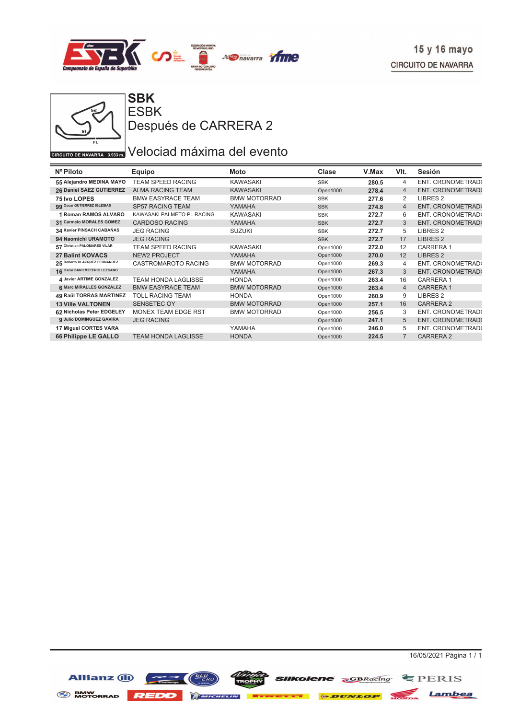



**ESBK** Después de CARRERA 2

#### GIRCUITO DE NAVARRA 3.933 DE Velociad máxima del evento

| Nº Piloto                     | Equipo                     | Moto                | Clase      | V.Max | VIt.           | Sesión                  |
|-------------------------------|----------------------------|---------------------|------------|-------|----------------|-------------------------|
| 55 Alejandro MEDINA MAYO      | <b>TEAM SPEED RACING</b>   | <b>KAWASAKI</b>     | <b>SBK</b> | 280.5 | 4              | ENT. CRONOMETRAD(       |
| 26 Daniel SAEZ GUTIERREZ      | <b>ALMA RACING TEAM</b>    | <b>KAWASAKI</b>     | Open1000   | 278.4 | $\overline{4}$ | <b>ENT. CRONOMETRAD</b> |
| 75 Ivo LOPES                  | <b>BMW EASYRACE TEAM</b>   | <b>BMW MOTORRAD</b> | <b>SBK</b> | 277.6 | 2              | LIBRES <sub>2</sub>     |
| 99 Oscar GUTIERREZ IGLESIAS   | <b>SP57 RACING TEAM</b>    | YAMAHA              | <b>SBK</b> | 274.8 | $\overline{4}$ | <b>ENT. CRONOMETRAD</b> |
| 1 Roman RAMOS ALVARO          | KAWASAKI PALMETO PL RACING | <b>KAWASAKI</b>     | <b>SBK</b> | 272.7 | 6              | ENT. CRONOMETRAD(       |
| 31 Carmelo MORALES GOMEZ      | <b>CARDOSO RACING</b>      | YAMAHA              | <b>SBK</b> | 272.7 | 3              | ENT. CRONOMETRAD(       |
| 34 Xavier PINSACH CABAÑAS     | <b>JEG RACING</b>          | <b>SUZUKI</b>       | <b>SBK</b> | 272.7 | 5              | LIBRES <sub>2</sub>     |
| 94 Naomichi URAMOTO           | <b>JEG RACING</b>          |                     | <b>SBK</b> | 272.7 | 17             | LIBRES <sub>2</sub>     |
| 57 Christian PALOMARES VILAR  | TEAM SPEED RACING          | <b>KAWASAKI</b>     | Open1000   | 272.0 | 12             | <b>CARRERA1</b>         |
| <b>27 Balint KOVACS</b>       | <b>NEW2 PROJECT</b>        | YAMAHA              | Open1000   | 270.0 | 12             | <b>LIBRES 2</b>         |
| 25 Roberto BLAZQUEZ FERNANDEZ | CASTROMAROTO RACING        | <b>BMW MOTORRAD</b> | Open1000   | 269.3 | 4              | ENT. CRONOMETRAD(       |
| 16 Oscar SAN EMETERIO LEZCANO |                            | YAMAHA              | Open1000   | 267.3 | 3              | <b>ENT. CRONOMETRAD</b> |
| 4 Javier ARTIME GONZALEZ      | <b>TEAM HONDA LAGLISSE</b> | <b>HONDA</b>        | Open1000   | 263.4 | 16             | <b>CARRERA1</b>         |
| 6 Marc MIRALLES GONZALEZ      | <b>BMW EASYRACE TEAM</b>   | <b>BMW MOTORRAD</b> | Open1000   | 263.4 | $\overline{4}$ | <b>CARRERA1</b>         |
| 49 Raül TORRAS MARTINEZ       | TOLL RACING TEAM           | <b>HONDA</b>        | Open1000   | 260.9 | 9              | LIBRES <sub>2</sub>     |
| <b>13 Ville VALTONEN</b>      | <b>SENSETEC OY</b>         | <b>BMW MOTORRAD</b> | Open1000   | 257.1 | 16             | <b>CARRERA 2</b>        |
| 62 Nicholas Peter EDGELEY     | <b>MONEX TEAM EDGE RST</b> | <b>BMW MOTORRAD</b> | Open1000   | 256.5 | 3              | ENT. CRONOMETRAD        |
| 9 Julio DOMINGUEZ GAVIRA      | <b>JEG RACING</b>          |                     | Open1000   | 247.1 | 5              | <b>ENT. CRONOMETRAD</b> |
| 17 Miguel CORTES VARA         |                            | YAMAHA              | Open1000   | 246.0 | 5              | ENT. CRONOMETRAD        |
| 66 Philippe LE GALLO          | <b>TEAM HONDA LAGLISSE</b> | <b>HONDA</b>        | Open1000   | 224.5 |                | <b>CARRERA 2</b>        |

16/05/2021 Página 1 / 1

**SIIKolene GBRacing** EPERIS

BMW MOTORRAD REDD MINIMUM **Execute & DUNLOP** NONDA Lambea

Allianz (ii)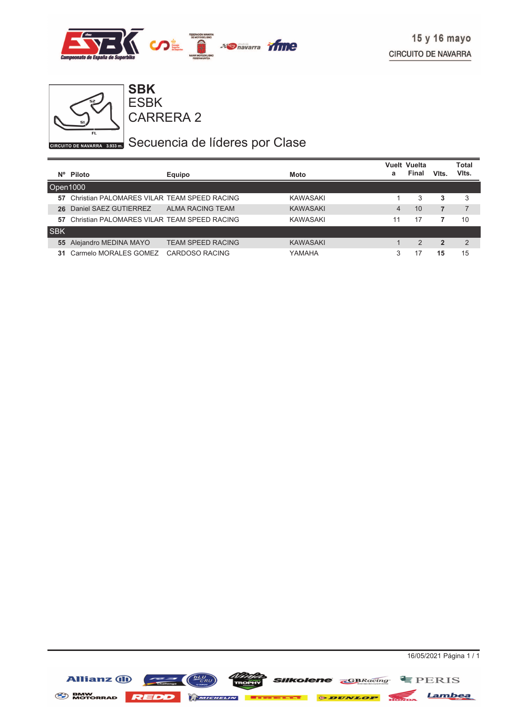



## GIRCUITO DE NAVARRA 8.933 my Secuencia de líderes por Clase

|            |                                             |                          |                 |                | <b>Vuelt Vuelta</b> |                | Total |
|------------|---------------------------------------------|--------------------------|-----------------|----------------|---------------------|----------------|-------|
| N°.        | Piloto                                      | <b>Equipo</b>            | Moto            | a              | <b>Final</b>        | Vits.          | Vits. |
| Open1000   |                                             |                          |                 |                |                     |                |       |
| 57         | Christian PALOMARES VILAR TEAM SPEED RACING |                          | KAWASAKI        |                | 3                   | 3              | 3     |
| 26         | Daniel SAEZ GUTIERREZ                       | ALMA RACING TEAM         | <b>KAWASAKI</b> | $\overline{4}$ | 10                  | 7              |       |
| 57         | Christian PALOMARES VILAR TEAM SPEED RACING |                          | <b>KAWASAKI</b> | 11             | 17                  |                | 10    |
| <b>SBK</b> |                                             |                          |                 |                |                     |                |       |
| 55         | Alejandro MEDINA MAYO                       | <b>TEAM SPEED RACING</b> | <b>KAWASAKI</b> |                | 2                   | $\overline{2}$ | 2     |
| 31         | Carmelo MORALES GOMEZ                       | CARDOSO RACING           | YAMAHA          | 3              | 17                  | 15             | 15    |

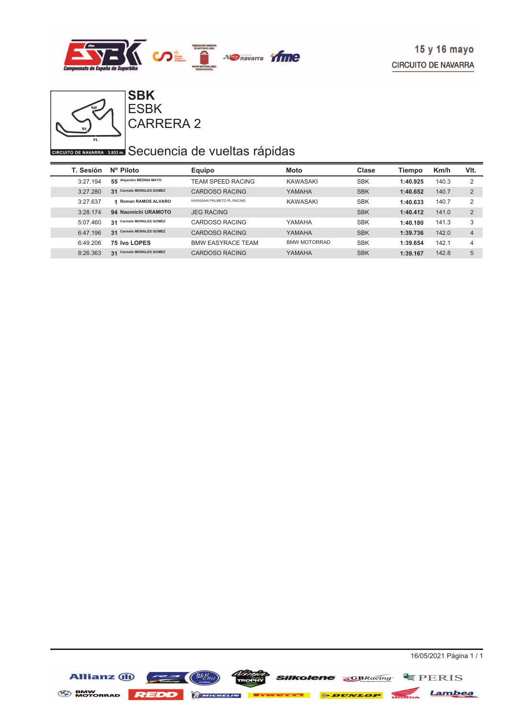



## **CIRCUITO DE NAVARRA** 3,933 Secuencia de vueltas rápidas

| T. Sesión | Nº Piloto                          | Equipo                     | <b>Moto</b>         | Clase      | Tiempo   | Km/h  | VIt.           |
|-----------|------------------------------------|----------------------------|---------------------|------------|----------|-------|----------------|
| 3:27.194  | Alejandro MEDINA MAYO<br>55        | <b>TEAM SPEED RACING</b>   | KAWASAKI            | <b>SBK</b> | 1:40.925 | 140.3 | 2              |
| 3:27.280  | <b>Carmelo MORALES GOMEZ</b><br>31 | CARDOSO RACING             | YAMAHA              | <b>SBK</b> | 1:40.652 | 140.7 | 2              |
| 3:27.637  | <b>Roman RAMOS ALVARO</b><br>и     | KAWASAKI PALMETO PL RACING | <b>KAWASAKI</b>     | <b>SBK</b> | 1:40.633 | 140.7 | 2              |
| 3:28.174  | 94 Naomichi URAMOTO                | <b>JEG RACING</b>          |                     | <b>SBK</b> | 1:40.412 | 141.0 | 2              |
| 5:07.460  | <b>Carmelo MORALES GOMEZ</b><br>31 | CARDOSO RACING             | YAMAHA              | <b>SBK</b> | 1:40.180 | 141.3 | 3              |
| 6:47.196  | <b>Carmelo MORALES GOMEZ</b><br>31 | CARDOSO RACING             | YAMAHA              | <b>SBK</b> | 1:39.736 | 142.0 | $\overline{4}$ |
| 6:49.206  | 75 Ivo LOPES                       | <b>BMW EASYRACE TEAM</b>   | <b>BMW MOTORRAD</b> | <b>SBK</b> | 1:39.654 | 142.1 | 4              |
| 8:26.363  | <b>Carmelo MORALES GOMEZ</b><br>31 | CARDOSO RACING             | YAMAHA              | <b>SBK</b> | 1:39.167 | 142.8 | 5              |

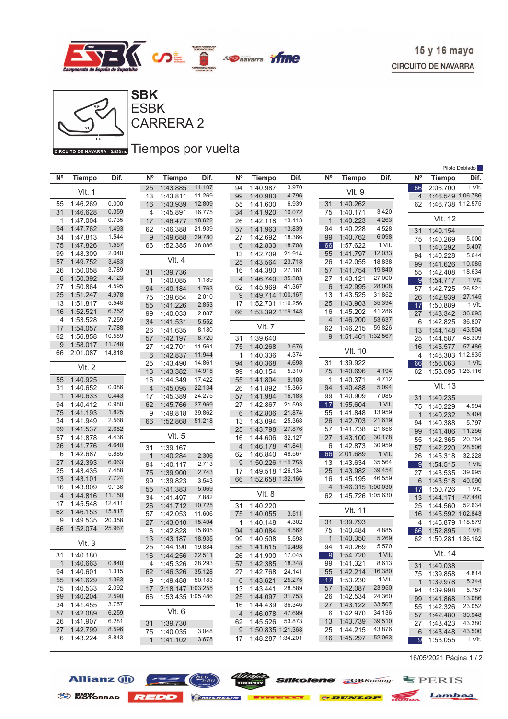



#### GIRGUITO DE NAVARRA 3.933 mm Tiempos por vuelta

|                |                         |                  |                |                      |                  |                |                         |                  |             |                      |                  |                |                      | Piloto Doblado   |
|----------------|-------------------------|------------------|----------------|----------------------|------------------|----------------|-------------------------|------------------|-------------|----------------------|------------------|----------------|----------------------|------------------|
| $N^{\circ}$    | <b>Tiempo</b>           | Dif.             | N°             | <b>Tiempo</b>        | Dif.             | N <sup>o</sup> | <b>Tiempo</b>           | Dif.             | $N^{\circ}$ | <b>Tiempo</b>        | Dif.             | N°             | <b>Tiempo</b>        | Dif.             |
|                |                         |                  | 25             | 1:43.885             | 11.107           | 94             | 1:40.987                | 3.970            |             |                      |                  | 66             | 2:06.700             | 1 VIt.           |
|                | <b>VIt. 1</b>           |                  | 13             | 1:43.811             | 11.269           | 99             | 1:40.983                | 4.796            |             | <b>VIt. 9</b>        |                  | $\overline{4}$ | 1:46.549 1:06.786    |                  |
| 55             | 1:46.269                | 0.000            | 16             | 1:43.939             | 12.809           | 55             | 1:41.600                | 6.939            | 31          | 1:40.262             |                  | 62             | 1:46.738 1:12.575    |                  |
| 31             | 1:46.628                | 0.359            | 4              | 1:45.891             | 16.775           | 34             | 1:41.920                | 10.072           | 75          | 1:40.171             | 3.420            |                |                      |                  |
| 1              | 1:47.004                | 0.735            | 17             | 1:46.477             | 18.622           | 26             | 1:42.118                | 13.113           | $\mathbf 1$ | 1:40.223             | 4.263            |                | <b>VIt. 12</b>       |                  |
| 94             | 1:47.762                | 1.493            | 62             | 1:46.388             | 21.939           | 57             | 1:41.963                | 13.839           | 94          | 1:40.228             | 4.528            | 31             | 1:40.154             |                  |
| 34             | 1:47.813                | 1.544            | 9              | 1:49.688             | 29.780           | 27             | 1:42.692                | 18.366           | 99          | 1:40.762             | 6.098            | 75             | 1:40.269             | 5.000            |
| 75             | 1:47.826                | 1.557<br>2.040   | 66             | 1:52.385             | 38.086           | 6              | 1:42.833                | 18.708           | 66          | 1:57.622             | 1 VIt.           | 1              | 1:40.292             | 5.407            |
| 99             | 1:48.309                | 3.483            |                | $V$ lt. 4            |                  | 13             | 1:42.709                | 21.914           | 55          | 1:41.797             | 12.033<br>18.838 | 94             | 1:40.228             | 5.644            |
| 57<br>26       | 1:49.752<br>1:50.058    | 3.789            |                |                      |                  | 25             | 1:43.564                | 23.718<br>27.161 | 26<br>57    | 1:42.055<br>1:41.754 | 19.840           | 99             | 1:41.626             | 10.085           |
| 6              | 1:50.392                | 4.123            | 31             | 1:39.736             |                  | 16<br>4        | 1:44.380<br>1:46.740    | 35.303           | 27          | 1:43.121             | 27.000           | 55             | 1:42.408             | 18.634           |
| 27             | 1:50.864                | 4.595            | 1              | 1:40.085             | 1.189            | 62             | 1:45.969                | 41.367           | 6           | 1:42.995             | 28.008           | 9              | 1:54.717             | 1 VIt.           |
| 25             | 1:51.247                | 4.978            | 94             | 1:40.184             | 1.763            | 9              | 1:49.714 1:00.167       |                  | 13          | 1:43.525             | 31.852           | 57             | 1:42.725             | 26.521           |
| 13             | 1:51.817                | 5.548            | 75             | 1:39.654             | 2.010            | 17             | 1:52.731 1:16.256       |                  | 25          | 1:43.903             | 35.394           | 26             | 1:42.939             | 27.145           |
| 16             | 1:52.521                | 6.252            | 55             | 1:41.226             | 2.853<br>2.887   | 66             | 1:53.392 1:19.148       |                  | 16          | 1:45.202             | 41.286           | 17             | 1:50.889             | 1 VIt.<br>36.695 |
| 4              | 1:53.528                | 7.259            | 99<br>34       | 1:40.033<br>1:41.531 | 5.552            |                |                         |                  | 4           | 1:46.200             | 53.637           | 27<br>6        | 1:43.342<br>1:42.825 | 36.807           |
| 17             | 1:54.057                | 7.788            | 26             | 1:41.635             | 8.180            |                | <b>VIt. 7</b>           |                  | 62          | 1:46.215             | 59.826           | 13             | 1:44.148             | 43.504           |
| 62             | 1:56.858                | 10.589           | 57             | 1:42.197             | 8.720            | 31             | 1:39.640                |                  | 9           | 1:51.461 1:32.567    |                  | 25             | 1:44.587             | 48.309           |
| 9              | 1:58.017                | 11.748           | 27             | 1:42.701             | 11.561           | 75             | 1:40.268                | 3.676            |             |                      |                  | 16             | 1:45.577             | 57.486           |
| 66             | 2:01.087                | 14.818           | 6              | 1:42.837             | 11.944           | 1              | 1:40.336                | 4.374            |             | <b>VIt. 10</b>       |                  | 4              | 1:46.303 1:12.935    |                  |
|                |                         |                  | 25             | 1:43.490             | 14.861           | 94             | 1:40.368                | 4.698            | 31          | 1:39.922             |                  | 66             | 1:56.063             | 1 VIt.           |
|                | <b>VIt. 2</b>           |                  | 13             | 1:43.382             | 14.915           | 99             | 1:40.154                | 5.310            | 75          | 1:40.696             | 4.194            | 62             | 1:53.695 1:26.116    |                  |
| 55             | 1:40.925                |                  | 16             | 1:44.349             | 17.422           | 55             | 1:41.804                | 9.103            | 1           | 1:40.371             | 4.712            |                |                      |                  |
| 31             | 1:40.652                | 0.086            | $\overline{4}$ | 1:45.095             | 22.134           | 26             | 1:41.892                | 15.365           | 94          | 1:40.488             | 5.094            |                | <b>VIt. 13</b>       |                  |
| 1              | 1:40.633                | 0.443            | 17             | 1:45.389             | 24.275           | 57             | 1:41.984                | 16.183           | 99          | 1:40.909             | 7.085            | 31             | 1:40.235             |                  |
| 94             | 1:40.412                | 0.980            | 62             | 1:45.766             | 27.969           | 27             | 1:42.867                | 21.593           | 17          | 1:55.604             | 1 VIt.           | 75             | 1:40.229             | 4.994            |
| 75             | 1:41.193                | 1.825            | 9              | 1:49.818             | 39.862           | 6              | 1:42.806                | 21.874           | 55          | 1:41.848             | 13.959           | 1              | 1:40.232             | 5.404            |
| 34             | 1:41.949                | 2.568            | 66             | 1:52.868             | 51.218           | 13             | 1:43.094                | 25.368           | 26          | 1:42.703             | 21.619           | 94             | 1:40.388             | 5.797            |
| 99             | 1:41.537                | 2.652            |                |                      |                  | 25             | 1:43.798                | 27.876           | 57          | 1:41.738             | 21.656           | 99             | 1:41.406             | 11.256           |
| 57             | 1:41.878                | 4.436            |                | VIt. 5               |                  | 16             | 1:44.606                | 32.127           | 27          | 1:43.100             | 30.178           | 55             | 1:42.365             | 20.764           |
| 26             | 1:41.776                | 4.640            | 31             | 1:39.167             |                  | 4              | 1:46.178                | 41.841           | 6           | 1:42.873             | 30.959           | 57             | 1:42.220             | 28.506           |
| 6              | 1:42.687                | 5.885            | $\mathbf{1}$   | 1:40.284             | 2.306            | 62             | 1:46.840                | 48.567           | 66          | 2:01.689             | 1 VIt.           | 26             | 1:45.318             | 32.228           |
| 27             | 1:42.393                | 6.063            | 94             | 1:40.117             | 2.713            | 9              | 1:50.226 1:10.753       |                  | 13          | 1:43.634             | 35.564           | 9              | 1:54.515             | 1 VIt.           |
| 25             | 1:43.435                | 7.488            | 75             | 1:39.900             | 2.743            | 17             | 1:49.518 1:26.134       |                  | 25          | 1:43.982             | 39.454           | 27             | 1:43.535             | 39.995           |
| 13             | 1:43.101                | 7.724            | 99             | 1:39.823             | 3.543            | 66             | 1:52.658 1:32.166       |                  | 16          | 1:45.195             | 46.559           | 6              | 1:43.518             | 40.090           |
| 16             | 1:43.809                | 9.136            | 55             | 1:41.383             | 5.069            |                | VIt. 8                  |                  | 4           | 1:46.315 1:00.030    |                  | 17             | 1:50.726             | 1 VIt.           |
| $\overline{4}$ | 1:44.816                | 11.150<br>12.411 | 34             | 1:41.497             | 7.882            |                |                         |                  | 62          | 1:45.726 1:05.630    |                  | 13             | 1:44.171             | 47.440           |
| 17<br>62       | 1:45.548<br>1:46.153    | 15.817           | 26             | 1:41.712             | 10.725           | 31             | 1:40.220                |                  |             | VIt. 11              |                  | 25             | 1:44.560             | 52.634           |
| 9              | 1:49.535                | 20.358           | 57             | 1:42.053             | 11.606           | 75             | 1:40.055                | 3.511            |             |                      |                  | 16             | 1:45.592 1:02.843    |                  |
| 66             | 1:52.074                | 25.967           | 27             | 1:43.010             | 15.404           | 1              | 1:40.148                | 4.302            | 31          | 1:39.793             |                  | 4              | 1:45.879 1:18.579    |                  |
|                |                         |                  | 6              | 1:42.828             | 15.605           | 94             | 1:40.084                | 4.562            | 75          | 1:40.484             | 4.885            | 66             | 1:52.895             | 1 VIt.           |
|                | Vlt.3                   |                  | 13             | 1:43.187             | 18.935           | 99             | 1:40.508                | 5.598            | $\mathbf 1$ | 1:40.350             | 5.269<br>5.570   | 62             | 1:50.281 1:36.162    |                  |
|                |                         |                  |                | 25 1:44.190          | 19.884<br>22.511 |                | 55 1:41.615             | 10.498<br>17.045 |             | 94 1:40.269          | 1 VIt.           |                | VIt. 14              |                  |
| $\mathbf{1}$   | 31 1:40.180<br>1:40.663 | 0.840            | 16             | 1:44.256<br>1:45.326 | 28.293           |                | 26 1:41.900             | 18.348           | - 91<br>99  | 1:54.720<br>1:41.321 | 8.613            |                |                      |                  |
| 94             | 1:40.601                | 1.315            | 4              | 62 1:46.326          | 35.128           | 57             | 1:42.385<br>27 1:42.768 | 24.141           | 55          | 1:42.214             | 16.380           |                | 31 1:40.038          |                  |
| 55             | 1:41.629                | 1.363            |                | 9 1:49.488           | 50.183           | 6              | 1:43.621                | 25.275           | 17          | 1:53.230             | 1 VIt.           |                | 75 1:39.858          | 4.814            |
| 75             | 1:40.533                | 2.092            | 17             | 2:18.147 1:03.255    |                  |                | 13 1:43.441             | 28.589           | 57          | 1:42.087             | 23.950           |                | 1 1:39.978           | 5.344            |
| 99             | 1:40.204                | 2.590            |                | 66 1:53.435 1:05.486 |                  |                | 25 1:44.097             | 31.753           | 26          | 1:42.534             | 24.360           | 94             | 1:39.998             | 5.757<br>13.086  |
| 34             | 1:41.455                | 3.757            |                |                      |                  |                | 16 1:44.439             | 36.346           | 27          | 1:43.122             | 33.507           | 99             | 1:41.868<br>1:42.326 | 23.052           |
| 57             | 1:42.089                | 6.259            |                | Vlt. 6               |                  | 4              | 1:46.078                | 47.699           | 6           | 1:42.970             | 34.136           | 55<br>57       | 1:42.480             | 30.948           |
| 26             | 1:41.907                | 6.281            |                | 31 1:39.730          |                  |                | 62 1:45.526             | 53.873           | - 13        | 1:43.739             | 39.510           |                | 27 1:43.423          | 43.380           |
| 27             | 1:42.799                | 8.596            |                | 75 1:40.035          | 3.048            |                | 9 1:50.835 1:21.368     |                  | 25          | 1:44.215             | 43.876           | 6              | 1:43.448             | 43.500           |
| 6              | 1:43.224                | 8.843            |                | 1 1:41.102           | 3.678            |                | 17 1:48.287 1:34.201    |                  |             | 16 1:45.297          | 52.063           | 9              | 1:53.055             | 1 VIt.           |
|                |                         |                  |                |                      |                  |                |                         |                  |             |                      |                  |                |                      |                  |

16/05/2021 Página 1 / 2

Allianz (i)



*SIIKolene* **GBRacing** EPERIS

BMW MOTORRAD REDD MINIMUM **Execut & DUNLOP** MOTORRAD Lambea

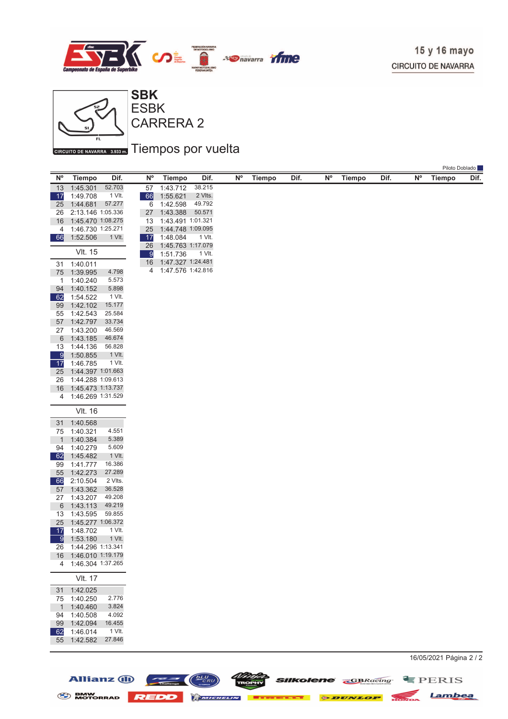

Piloto Doblado



CARRERA 2 ESBK

#### GIRGUITO DE NAVARRA 3.933 mm Tiempos por vuelta

| N <sup>o</sup>       | <b>Tiempo</b>                 | Dif.             | N <sup>o</sup>       | <b>Tiempo</b>                 | Dif.    | $\mathsf{N}^\mathsf{o}$ | <b>Tiempo</b> | Dif. | <b>N°</b> | <b>Tiempo</b> | Dif. | N° | <b>Tiempo</b>             | <b>I</b> linn Dopland<br>Dif. |
|----------------------|-------------------------------|------------------|----------------------|-------------------------------|---------|-------------------------|---------------|------|-----------|---------------|------|----|---------------------------|-------------------------------|
| 13                   | 1:45.301                      | 52.703           | 57                   | 1:43.712                      | 38.215  |                         |               |      |           |               |      |    |                           |                               |
| $\overline{17}$      | 1:49.708                      | 1 VIt.           | 66                   | 1:55.621                      | 2 Vlts. |                         |               |      |           |               |      |    |                           |                               |
| 25                   | 1:44.681                      | 57.277           | 6                    | 1:42.598                      | 49.792  |                         |               |      |           |               |      |    |                           |                               |
| 26                   | 2:13.146 1:05.336             |                  | 27                   | 1:43.388                      | 50.571  |                         |               |      |           |               |      |    |                           |                               |
| 16                   | 1:45.470 1:08.275             |                  | 13                   | 1:43.491 1:01.321             |         |                         |               |      |           |               |      |    |                           |                               |
| 4                    | 1:46.730 1:25.271             |                  | 25                   | 1:44.748 1:09.095             |         |                         |               |      |           |               |      |    |                           |                               |
| 66                   | 1:52.506                      | 1 VIt.           | 17                   | 1:48.084<br>1:45.763 1:17.079 | 1 VIt.  |                         |               |      |           |               |      |    |                           |                               |
|                      | <b>VIt. 15</b>                |                  | 26<br>$\overline{9}$ | 1:51.736                      | 1 VIt.  |                         |               |      |           |               |      |    |                           |                               |
| 31                   | 1:40.011                      |                  | 16                   | 1:47.327 1:24.481             |         |                         |               |      |           |               |      |    |                           |                               |
| $75\,$               | 1:39.995                      | 4.798            | 4                    | 1:47.576 1:42.816             |         |                         |               |      |           |               |      |    |                           |                               |
| $\mathbf{1}$         | 1:40.240                      | 5.573            |                      |                               |         |                         |               |      |           |               |      |    |                           |                               |
| 94                   | 1:40.152                      | 5.898            |                      |                               |         |                         |               |      |           |               |      |    |                           |                               |
| 62                   | 1:54.522                      | 1 VIt.           |                      |                               |         |                         |               |      |           |               |      |    |                           |                               |
| 99                   | 1:42.102                      | 15.177           |                      |                               |         |                         |               |      |           |               |      |    |                           |                               |
| 55                   | 1:42.543                      | 25.584           |                      |                               |         |                         |               |      |           |               |      |    |                           |                               |
| 57                   | 1:42.797                      | 33.734           |                      |                               |         |                         |               |      |           |               |      |    |                           |                               |
| 27                   | 1:43.200                      | 46.569           |                      |                               |         |                         |               |      |           |               |      |    |                           |                               |
| 6                    | 1:43.185                      | 46.674           |                      |                               |         |                         |               |      |           |               |      |    |                           |                               |
| 13                   | 1:44.136                      | 56.828           |                      |                               |         |                         |               |      |           |               |      |    |                           |                               |
| 9<br>17              | 1:50.855<br>1:46.785          | 1 VIt.<br>1 VIt. |                      |                               |         |                         |               |      |           |               |      |    |                           |                               |
| 25                   | 1:44.397 1:01.663             |                  |                      |                               |         |                         |               |      |           |               |      |    |                           |                               |
| 26                   | 1:44.288 1:09.613             |                  |                      |                               |         |                         |               |      |           |               |      |    |                           |                               |
| 16                   | 1:45.473 1:13.737             |                  |                      |                               |         |                         |               |      |           |               |      |    |                           |                               |
| 4                    | 1:46.269 1:31.529             |                  |                      |                               |         |                         |               |      |           |               |      |    |                           |                               |
|                      |                               |                  |                      |                               |         |                         |               |      |           |               |      |    |                           |                               |
|                      | <b>VIt. 16</b>                |                  |                      |                               |         |                         |               |      |           |               |      |    |                           |                               |
| 31                   | 1:40.568                      |                  |                      |                               |         |                         |               |      |           |               |      |    |                           |                               |
| 75                   | 1:40.321                      | 4.551            |                      |                               |         |                         |               |      |           |               |      |    |                           |                               |
| $\mathbf{1}$         | 1:40.384                      | 5.389<br>5.609   |                      |                               |         |                         |               |      |           |               |      |    |                           |                               |
| 94<br>62             | 1:40.279<br>1:45.482          | 1 VIt.           |                      |                               |         |                         |               |      |           |               |      |    |                           |                               |
| 99                   | 1:41.777                      | 16.386           |                      |                               |         |                         |               |      |           |               |      |    |                           |                               |
| 55                   | 1:42.273                      | 27.289           |                      |                               |         |                         |               |      |           |               |      |    |                           |                               |
| 66                   | 2:10.504                      | 2 Vlts.          |                      |                               |         |                         |               |      |           |               |      |    |                           |                               |
| 57                   | 1:43.362                      | 36.528           |                      |                               |         |                         |               |      |           |               |      |    |                           |                               |
| 27                   | 1:43.207                      | 49.208           |                      |                               |         |                         |               |      |           |               |      |    |                           |                               |
| 6                    | 1:43.113                      | 49.219           |                      |                               |         |                         |               |      |           |               |      |    |                           |                               |
| 13                   | 1:43.595                      | 59.855           |                      |                               |         |                         |               |      |           |               |      |    |                           |                               |
| 25                   | 1:45.277 1:06.372             |                  |                      |                               |         |                         |               |      |           |               |      |    |                           |                               |
| 17                   | 1:48.702                      | 1 VIt.           |                      |                               |         |                         |               |      |           |               |      |    |                           |                               |
| $\overline{9}$<br>26 | 1:53.180<br>1:44.296 1:13.341 | 1 VIt.           |                      |                               |         |                         |               |      |           |               |      |    |                           |                               |
|                      | 16 1:46.010 1:19.179          |                  |                      |                               |         |                         |               |      |           |               |      |    |                           |                               |
|                      | 4 1:46.304 1:37.265           |                  |                      |                               |         |                         |               |      |           |               |      |    |                           |                               |
|                      |                               |                  |                      |                               |         |                         |               |      |           |               |      |    |                           |                               |
|                      | <b>VIt. 17</b>                |                  |                      |                               |         |                         |               |      |           |               |      |    |                           |                               |
| 31                   | 1:42.025                      |                  |                      |                               |         |                         |               |      |           |               |      |    |                           |                               |
| 75                   | 1:40.250                      | 2.776            |                      |                               |         |                         |               |      |           |               |      |    |                           |                               |
| $\mathbf{1}$         | 1:40.460                      | 3.824<br>4.092   |                      |                               |         |                         |               |      |           |               |      |    |                           |                               |
| 94<br>99             | 1:40.508<br>1:42.094          | 16.455           |                      |                               |         |                         |               |      |           |               |      |    |                           |                               |
| 62                   | 1:46.014                      | 1 VIt.           |                      |                               |         |                         |               |      |           |               |      |    |                           |                               |
| 55                   | 1:42.582                      | 27.846           |                      |                               |         |                         |               |      |           |               |      |    |                           |                               |
|                      |                               |                  |                      |                               |         |                         |               |      |           |               |      |    |                           |                               |
|                      |                               |                  |                      |                               |         |                         |               |      |           |               |      |    | $16/05/2021$ Dáning $2/2$ |                               |

Allianz (1)  $\left(\frac{\sum_{i=1}^{L} W_i}{c_{i}}\right)$   $\left(\frac{\sum_{i=1}^{L} W_i}{c_{i}}\right)$  silkolene  $\sum_{i=1}^{L} BERIS$ BMW NOTORRAD REDD MANUSLIN **EXTERNAL O DUNLOP** NOTOR Lambea

16/05/2021 Página 2 / 2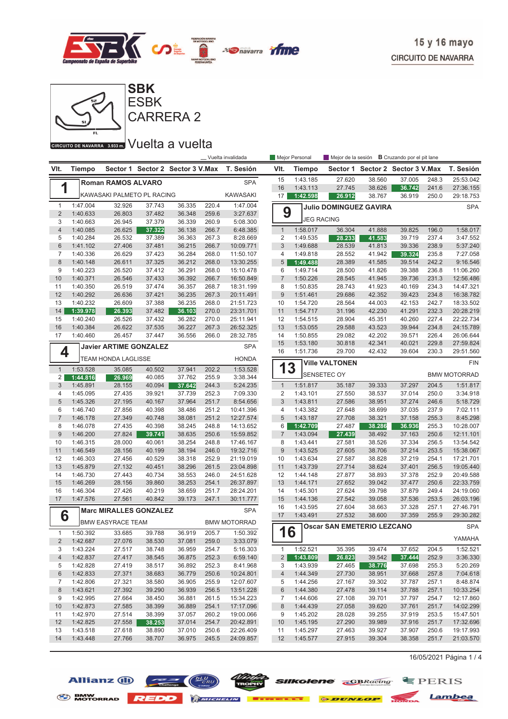



CARRERA 2

GIRCUITO DE NAVARRA 3.933m. VUEIta a vuelta

|                         |                      |                               |                  |                                  |                | _Vuelta invalidada   |                 | Mejor Personal    |                                   |        | Mejor de la sesión <b>B</b> Cruzando por el pit lane |       |                     |
|-------------------------|----------------------|-------------------------------|------------------|----------------------------------|----------------|----------------------|-----------------|-------------------|-----------------------------------|--------|------------------------------------------------------|-------|---------------------|
| VIt.                    | <b>Tiempo</b>        |                               |                  | Sector 1 Sector 2 Sector 3 V.Max |                | T. Sesión            | VIt.            | <b>Tiempo</b>     |                                   |        | Sector 1 Sector 2 Sector 3 V.Max                     |       | T. Sesión           |
|                         |                      | <b>Roman RAMOS ALVARO</b>     |                  |                                  |                | <b>SPA</b>           | 15              | 1:43.185          | 27.620                            | 38.560 | 37.005                                               | 248.3 | 25:53.042           |
| 1                       |                      |                               |                  |                                  |                |                      | 16              | 1:43.113          | 27.745                            | 38.626 | 36.742                                               | 241.6 | 27:36.155           |
|                         |                      | KAWASAKI PALMETO PL RACING    |                  |                                  |                | <b>KAWASAKI</b>      | 17              | 1:42.598          | 26.912                            | 38.767 | 36.919                                               | 250.0 | 29:18.753           |
| $\mathbf{1}$            | 1:47.004             | 32.926                        | 37.743           | 36.335                           | 220.4          | 1:47.004             |                 |                   | <b>Julio DOMINGUEZ GAVIRA</b>     |        |                                                      |       | <b>SPA</b>          |
| $\overline{2}$          | 1:40.633             | 26.803                        | 37.482           | 36.348                           | 259.6          | 3:27.637             | 9               | <b>JEG RACING</b> |                                   |        |                                                      |       |                     |
| 3                       | 1:40.663             | 26.945                        | 37.379           | 36.339                           | 260.9          | 5:08.300             |                 |                   |                                   |        |                                                      |       |                     |
| $\overline{4}$          | 1:40.085             | 26.625                        | 37.322           | 36.138                           | 266.7          | 6:48.385             | $\mathbf{1}$    | 1:58.017          | 36.304                            | 41.888 | 39.825                                               | 196.0 | 1:58.017            |
| 5                       | 1:40.284             | 26.532                        | 37.389           | 36.363                           | 267.3          | 8:28.669             | $\overline{2}$  | 1:49.535          | 28.233                            | 41.583 | 39.719                                               | 237.4 | 3:47.552            |
| 6                       | 1:41.102             | 27.406                        | 37.481           | 36.215                           | 266.7          | 10:09.771            | 3               | 1:49.688          | 28.539                            | 41.813 | 39.336                                               | 238.9 | 5:37.240            |
| $\overline{7}$          | 1:40.336             | 26.629                        | 37.423           | 36.284                           | 268.0          | 11:50.107            | $\overline{4}$  | 1:49.818          | 28.552                            | 41.942 | 39.324                                               | 235.8 | 7:27.058            |
| 8                       | 1:40.148             | 26.611                        | 37.325           | 36.212                           | 268.0          | 13:30.255            | 5               | 1:49.488          | 28.389                            | 41.585 | 39.514                                               | 242.2 | 9:16.546            |
| 9                       | 1:40.223             | 26.520                        | 37.412           | 36.291                           | 268.0          | 15:10.478            | 6               | 1:49.714          | 28.500                            | 41.826 | 39.388                                               | 236.8 | 11:06.260           |
| 10                      | 1:40.371             | 26.546                        | 37.433           | 36.392                           | 266.7          | 16:50.849            | $\overline{7}$  | 1:50.226          | 28.545                            | 41.945 | 39.736                                               | 231.3 | 12:56.486           |
| 11                      | 1:40.350             | 26.519                        | 37.474           | 36.357                           | 268.7          | 18:31.199            | 8               | 1:50.835          | 28.743                            | 41.923 | 40.169                                               | 234.3 | 14:47.321           |
| 12                      | 1:40.292             | 26.636                        | 37.421           | 36.235                           | 267.3          | 20:11.491            | $9$             | 1:51.461          | 29.686                            | 42.352 | 39.423                                               | 234.8 | 16:38.782           |
| 13                      | 1:40.232             | 26.609                        | 37.388           | 36.235                           | 268.0          | 21:51.723            | 10              | 1:54.720          | 28.564                            | 44.003 | 42.153                                               | 242.7 | 18:33.502           |
| 14                      | 1:39.978             | 26.393                        | 37.482           | 36.103                           | 270.0          | 23:31.701            | 11              | 1:54.717          | 31.196                            | 42.230 | 41.291                                               | 232.3 | 20:28.219           |
| 15                      | 1:40.240             | 26.526                        | 37.432           | 36.282                           | 270.0          | 25:11.941            | 12              | 1:54.515          | 28.904                            | 45.351 | 40.260                                               | 227.4 | 22:22.734           |
| 16                      | 1:40.384             | 26.622                        | 37.535           | 36.227                           | 267.3          | 26:52.325            | 13              | 1:53.055          | 29.588                            | 43.523 | 39.944                                               | 234.8 | 24:15.789           |
| 17                      | 1:40.460             | 26.457                        | 37.447           | 36.556                           | 266.0          | 28:32.785            | 14              | 1:50.855          | 29.082                            | 42.202 | 39.571                                               | 226.4 | 26:06.644           |
|                         |                      | <b>Javier ARTIME GONZALEZ</b> |                  |                                  |                | <b>SPA</b>           | 15              | 1:53.180          | 30.818                            | 42.341 | 40.021                                               | 229.8 | 27:59.824           |
| 4                       |                      | <b>TEAM HONDA LAGLISSE</b>    |                  |                                  |                | <b>HONDA</b>         | 16              | 1:51.736          | 29.700                            | 42.432 | 39.604                                               | 230.3 | 29:51.560           |
|                         |                      |                               |                  |                                  |                |                      | 13              |                   | <b>Ville VALTONEN</b>             |        |                                                      |       | <b>FIN</b>          |
| $\mathbf{1}$<br>2       | 1:53.528<br>1:44.816 | 35.085<br>26.969              | 40.502<br>40.085 | 37.941<br>37.762                 | 202.2<br>255.9 | 1:53.528<br>3:38.344 |                 |                   | <b>SENSETEC OY</b>                |        |                                                      |       | <b>BMW MOTORRAD</b> |
| 3                       | 1:45.891             | 28.155                        | 40.094           | 37.642                           | 244.3          | 5:24.235             | $\mathbf{1}$    | 1:51.817          | 35.187                            | 39.333 | 37.297                                               | 204.5 | 1:51.817            |
| 4                       | 1:45.095             | 27.435                        | 39.921           | 37.739                           | 252.3          | 7:09.330             | $\overline{2}$  | 1:43.101          | 27.550                            | 38.537 | 37.014                                               | 250.0 | 3:34.918            |
| 5                       | 1:45.326             | 27.195                        | 40.167           | 37.964                           | 251.7          | 8:54.656             | 3               | 1:43.811          | 27.586                            | 38.951 | 37.274                                               | 246.6 | 5:18.729            |
| 6                       | 1:46.740             | 27.856                        | 40.398           | 38.486                           | 251.2          | 10:41.396            | 4               | 1:43.382          | 27.648                            | 38.699 | 37.035                                               | 237.9 | 7:02.111            |
| $\overline{7}$          | 1:46.178             | 27.349                        | 40.748           | 38.081                           | 251.2          | 12:27.574            | 5               | 1:43.187          | 27.708                            | 38.321 | 37.158                                               | 255.3 | 8:45.298            |
| 8                       | 1:46.078             | 27.435                        | 40.398           | 38.245                           | 248.8          | 14:13.652            | 6               | 1:42.709          | 27.487                            | 38.286 | 36.936                                               | 255.3 | 10:28.007           |
| 9                       | 1:46.200             | 27.824                        | 39.741           | 38.635                           | 250.6          | 15:59.852            | $\overline{7}$  | 1:43.094          | 27.439                            | 38.492 | 37.163                                               | 250.6 | 12:11.101           |
| 10                      | 1:46.315             | 28.000                        | 40.061           | 38.254                           | 248.8          | 17:46.167            | 8               | 1:43.441          | 27.581                            | 38.526 | 37.334                                               | 256.5 | 13:54.542           |
| 11                      | 1:46.549             | 28.156                        | 40.199           | 38.194                           | 246.0          | 19:32.716            | $9$             | 1:43.525          | 27.605                            | 38.706 | 37.214                                               | 253.5 | 15:38.067           |
| 12                      | 1:46.303             | 27.456                        | 40.529           | 38.318                           | 252.9          | 21:19.019            | 10              | 1:43.634          | 27.587                            | 38.828 | 37.219                                               | 254.1 | 17:21.701           |
| 13                      | 1:45.879             | 27.132                        | 40.451           | 38.296                           | 261.5          | 23:04.898            | 11              | 1:43.739          | 27.714                            | 38.624 | 37.401                                               | 256.5 | 19:05.440           |
| 14                      | 1:46.730             | 27.443                        | 40.734           | 38.553                           | 246.0          | 24:51.628            | 12              | 1:44.148          | 27.877                            | 38.893 | 37.378                                               | 252.9 | 20:49.588           |
| 15                      | 1:46.269             | 28.156                        | 39.860           | 38.253                           | 254.1          | 26:37.897            | 13              | 1:44.171          | 27.652                            | 39.042 | 37.477                                               | 250.6 | 22:33.759           |
| 16                      | 1:46.304             | 27.426                        | 40.219           | 38.659                           | 251.7          | 28:24.201            | 14              | 1:45.301          | 27.624                            | 39.798 | 37.879                                               | 249.4 | 24:19.060           |
| 17                      | 1:47.576             | 27.561                        | 40.842           | 39.173                           | 247.1          | 30:11.777            | 15              | 1:44.136          | 27.542                            | 39.058 | 37.536                                               | 253.5 | 26:03.196           |
|                         |                      |                               |                  |                                  |                |                      | 16              | 1:43.595          | 27.604                            | 38.663 | 37.328                                               | 257.1 | 27:46.791           |
| 6                       |                      | <b>Marc MIRALLES GONZALEZ</b> |                  |                                  |                | <b>SPA</b>           | 17              | 1:43.491          | 27.532                            | 38.600 | 37.359                                               | 255.9 | 29:30.282           |
|                         |                      | <b>BMW EASYRACE TEAM</b>      |                  |                                  |                | <b>BMW MOTORRAD</b>  |                 |                   | <b>Oscar SAN EMETERIO LEZCANO</b> |        |                                                      |       | <b>SPA</b>          |
| $\mathbf{1}$            | 1:50.392             | 33.685                        | 39.788           | 36.919                           | 205.7          | 1:50.392             | 16              |                   |                                   |        |                                                      |       |                     |
| $\overline{\mathbf{c}}$ | 1:42.687             | 27.076                        | 38.530           | 37.081                           | 259.0          | 3:33.079             |                 | ┙                 |                                   |        |                                                      |       | YAMAHA              |
| 3                       | 1:43.224             | 27.517                        | 38.748           | 36.959                           | 254.7          | 5:16.303             | $\mathbf{1}$    | 1:52.521          | 35.395                            | 39.474 | 37.652                                               | 204.5 | 1:52.521            |
| $\overline{4}$          | 1:42.837             | 27.417                        | 38.545           | 36.875                           | 252.3          | 6:59.140             | 2 <sub>1</sub>  | 1:43.809          | 26.823                            | 39.542 | 37.444                                               | 252.9 | 3:36.330            |
| 5                       | 1:42.828             | 27.419                        | 38.517           | 36.892                           | 252.3          | 8:41.968             | 3               | 1:43.939          | 27.465                            | 38.776 | 37.698                                               | 255.3 | 5:20.269            |
| 6                       | 1:42.833             | 27.371                        | 38.683           | 36.779                           | 250.6          | 10:24.801            | $\overline{4}$  | 1:44.349          | 27.730                            | 38.951 | 37.668                                               | 257.8 | 7:04.618            |
| 7                       | 1:42.806             | 27.321                        | 38.580           | 36.905                           | 255.9          | 12:07.607            | 5               | 1:44.256          | 27.167                            | 39.302 | 37.787                                               | 257.1 | 8:48.874            |
| 8                       | 1:43.621             | 27.392                        | 39.290           | 36.939                           | 256.5          | 13:51.228            | $6\phantom{1}6$ | 1:44.380          | 27.478                            | 39.114 | 37.788                                               | 257.1 | 10:33.254           |
| 9                       | 1:42.995             | 27.664                        | 38.450           | 36.881                           | 261.5          | 15:34.223            | 7               | 1:44.606          | 27.108                            | 39.701 | 37.797                                               | 254.7 | 12:17.860           |
| 10                      | 1:42.873             | 27.585                        | 38.399           | 36.889                           | 254.1          | 17:17.096            | 8               | 1:44.439          | 27.058                            | 39.620 | 37.761                                               | 251.7 | 14:02.299           |
| 11                      | 1:42.970             | 27.514                        | 38.399           | 37.057                           | 260.2          | 19:00.066            | 9               | 1:45.202          | 28.028                            | 39.255 | 37.919                                               | 253.5 | 15:47.501           |
| 12                      | 1:42.825             | 27.558                        | 38.253           | 37.014                           | 254.7          | 20:42.891            | 10              | 1:45.195          | 27.290                            | 39.989 | 37.916                                               | 251.7 | 17:32.696           |
| 13                      | 1:43.518             | 27.618                        | 38.890           | 37.010                           | 250.6          | 22:26.409            | 11              | 1:45.297          | 27.463                            | 39.927 | 37.907                                               | 250.6 | 19:17.993           |
| 14                      | 1:43.448             | 27.766                        | 38.707           | 36.975                           | 245.5          | 24:09.857            | 12              | 1:45.577          | 27.915                            | 39.304 | 38.358                                               | 251.7 | 21:03.570           |

16/05/2021 Página 1 / 4

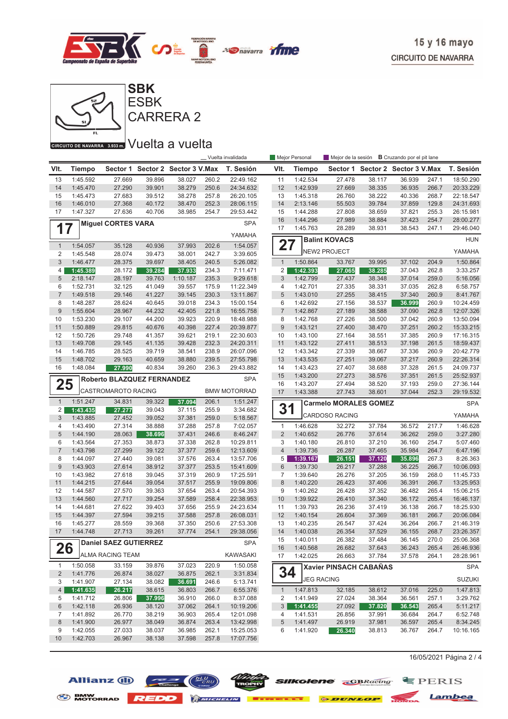



CARRERA 2

#### GIRGUITO DE NAVARRA 3.933 m. VUelta a vuelta

|                           | _Vuelta invalidada   |                              |                  |                         | Mejor Personal |            | Mejor de la sesión <b>B</b> Cruzando por el pit lane |                      |                              |                                  |                  |                |                        |
|---------------------------|----------------------|------------------------------|------------------|-------------------------|----------------|------------|------------------------------------------------------|----------------------|------------------------------|----------------------------------|------------------|----------------|------------------------|
| VIt.                      | Tiempo               | Sector 1                     |                  | Sector 2 Sector 3 V.Max |                | T. Sesión  | VIt.                                                 | <b>Tiempo</b>        |                              | Sector 1 Sector 2 Sector 3 V.Max |                  |                | T. Sesión              |
| 13                        | 1:45.592             | 27.669                       | 39.896           | 38.027                  | 260.2          | 22:49.162  | 11                                                   | 1:42.534             | 27.478                       | 38.117                           | 36.939           | 247.1          | 18:50.290              |
| 14                        | 1:45.470             | 27.290                       | 39.901           | 38.279                  | 250.6          | 24:34.632  | 12                                                   | 1:42.939             | 27.669                       | 38.335                           | 36.935           | 266.7          | 20:33.229              |
| 15                        | 1:45.473             | 27.683                       | 39.512           | 38.278                  | 257.8          | 26:20.105  | 13                                                   | 1:45.318             | 26.760                       | 38.222                           | 40.336           | 268.7          | 22:18.547              |
| 16                        | 1:46.010             | 27.368                       | 40.172           | 38.470                  | 252.3          | 28:06.115  | 14                                                   | 2:13.146             | 55.503                       | 39.784                           | 37.859           | 129.8          | 24:31.693              |
| 17                        | 1:47.327             | 27.636                       | 40.706           | 38.985                  | 254.7          | 29:53.442  | 15                                                   | 1:44.288             | 27.808                       | 38.659                           | 37.821           | 255.3          | 26:15.981              |
| <b>Miguel CORTES VARA</b> |                      |                              |                  |                         |                | <b>SPA</b> | 16                                                   | 1:44.296             | 27.989                       | 38.884                           | 37.423           | 254.7          | 28:00.277              |
| 17                        |                      |                              |                  |                         |                |            | 17                                                   | 1:45.763             | 28.289                       | 38.931                           | 38.543           | 247.1          | 29:46.040              |
|                           |                      |                              |                  |                         |                | YAMAHA     |                                                      |                      | <b>Balint KOVACS</b>         |                                  |                  |                | <b>HUN</b>             |
| $\mathbf{1}$              | 1:54.057             | 35.128                       | 40.936           | 37.993                  | 202.6          | 1:54.057   | 27                                                   |                      |                              |                                  |                  |                |                        |
| 2                         | 1:45.548             | 28.074                       | 39.473           | 38.001                  | 242.7          | 3:39.605   |                                                      |                      | <b>NEW2 PROJECT</b>          |                                  |                  |                | YAMAHA                 |
| $\mathfrak{S}$            | 1:46.477             | 28.375                       | 39.697           | 38.405                  | 240.5          | 5:26.082   | $\overline{1}$                                       | 1:50.864             | 33.767                       | 39.995                           | 37.102           | 204.9          | 1:50.864               |
| 4                         | 1:45.389             | 28.172                       | 39.284           | 37.933                  | 234.3          | 7:11.471   | $\overline{2}$                                       | 1:42.393             | 27.065                       | 38.285                           | 37.043           | 262.8          | 3:33.257               |
| 5                         | 2:18.147             | 28.197                       | 39.763           | 1:10.187                | 235.3          | 9:29.618   | 3                                                    | 1:42.799             | 27.437                       | 38.348                           | 37.014           | 259.0          | 5:16.056               |
| 6                         | 1:52.731             | 32.125                       | 41.049           | 39.557                  | 175.9          | 11:22.349  | 4                                                    | 1:42.701             | 27.335                       | 38.331                           | 37.035           | 262.8          | 6:58.757               |
| $\sqrt{7}$                | 1:49.518             | 29.146                       | 41.227           | 39.145                  | 230.3          | 13:11.867  | 5                                                    | 1:43.010             | 27.255                       | 38.415                           | 37.340           | 260.9          | 8:41.767               |
| 8                         | 1:48.287             | 28.624                       | 40.645           | 39.018                  | 234.3          | 15:00.154  | 6                                                    | 1:42.692             | 27.156                       | 38.537                           | 36.999           | 260.9          | 10:24.459              |
| $\boldsymbol{9}$          | 1:55.604             | 28.967                       | 44.232           | 42.405                  | 221.8          | 16:55.758  | $\overline{7}$                                       | 1:42.867             | 27.189                       | 38.588                           | 37.090           | 262.8          | 12:07.326              |
| 10                        | 1:53.230             | 29.107                       | 44.200           | 39.923                  | 220.9          | 18:48.988  | 8                                                    | 1:42.768             | 27.226                       | 38.500                           | 37.042           | 260.9          | 13:50.094              |
| 11                        | 1:50.889             | 29.815                       | 40.676           | 40.398                  | 227.4          | 20:39.877  | 9                                                    | 1:43.121             | 27.400                       | 38.470                           | 37.251           | 260.2          | 15:33.215              |
| 12                        | 1:50.726             | 29.748                       | 41.357           | 39.621                  | 219.1          | 22:30.603  | 10                                                   | 1:43.100             | 27.164                       | 38.551                           | 37.385           | 260.9          | 17:16.315              |
| 13                        | 1:49.708             | 29.145                       | 41.135           | 39.428                  | 232.3          | 24:20.311  | 11                                                   | 1:43.122             | 27.411                       | 38.513                           | 37.198           | 261.5          | 18:59.437              |
| 14                        | 1:46.785<br>1:48.702 | 28.525                       | 39.719           | 38.541                  | 238.9          | 26:07.096  | 12                                                   | 1:43.342             | 27.339                       | 38.667                           | 37.336           | 260.9          | 20:42.779              |
| 15<br>16                  |                      | 29.163<br>27.990             | 40.659           | 38.880                  | 239.5          | 27:55.798  | 13<br>14                                             | 1:43.535             | 27.251<br>27.407             | 39.067                           | 37.217<br>37.328 | 260.9<br>261.5 | 22:26.314              |
|                           | 1:48.084             |                              | 40.834           | 39.260                  | 236.3          | 29:43.882  | 15                                                   | 1:43.423<br>1:43.200 | 27.273                       | 38.688<br>38.576                 | 37.351           | 261.5          | 24:09.737<br>25:52.937 |
|                           |                      | Roberto BLAZQUEZ FERNANDEZ   |                  |                         |                | <b>SPA</b> | 16                                                   | 1:43.207             | 27.494                       | 38.520                           | 37.193           | 259.0          | 27:36.144              |
| 25<br>CASTROMAROTO RACING |                      |                              |                  | <b>BMW MOTORRAD</b>     | 17             | 1:43.388   | 27.743                                               | 38.601               | 37.044                       | 252.3                            | 29:19.532        |                |                        |
|                           | 1:51.247             |                              |                  | 37.094                  |                | 1:51.247   |                                                      |                      |                              |                                  |                  |                |                        |
| $\mathbf{1}$<br>2         | 1:43.435             | 34.831<br>27.277             | 39.322<br>39.043 | 37.115                  | 206.1<br>255.9 | 3:34.682   | 31                                                   |                      | <b>Carmelo MORALES GOMEZ</b> |                                  |                  |                | <b>SPA</b>             |
| 3                         | 1:43.885             | 27.452                       | 39.052           | 37.381                  | 259.0          | 5:18.567   |                                                      |                      | CARDOSO RACING               |                                  |                  |                | YAMAHA                 |
| 4                         | 1:43.490             | 27.314                       | 38.888           | 37.288                  | 257.8          | 7:02.057   | $\mathbf{1}$                                         | 1:46.628             | 32.272                       | 37.784                           | 36.572           | 217.7          | 1:46.628               |
| 5                         | 1:44.190             | 28.063                       | 38.696           | 37.431                  | 246.6          | 8:46.247   | $\overline{2}$                                       | 1:40.652             | 26.776                       | 37.614                           | 36.262           | 259.0          | 3:27.280               |
| 6                         | 1:43.564             | 27.353                       | 38.873           | 37.338                  | 262.8          | 10:29.811  | 3                                                    | 1:40.180             | 26.810                       | 37.210                           | 36.160           | 254.7          | 5:07.460               |
| $\overline{7}$            | 1:43.798             | 27.299                       | 39.122           | 37.377                  | 259.6          | 12:13.609  | $\overline{4}$                                       | 1:39.736             | 26.287                       | 37.465                           | 35.984           | 264.7          | 6:47.196               |
| 8                         | 1:44.097             | 27.440                       | 39.081           | 37.576                  | 263.4          | 13:57.706  | 5                                                    | 1:39.167             | 26.151                       | 37.120                           | 35.896           | 267.3          | 8:26.363               |
| $9\,$                     | 1:43.903             | 27.614                       | 38.912           | 37.377                  | 253.5          | 15:41.609  | $6\phantom{1}6$                                      | 1:39.730             | 26.217                       | 37.288                           | 36.225           | 266.7          | 10:06.093              |
| 10                        | 1:43.982             | 27.618                       | 39.045           | 37.319                  | 260.9          | 17:25.591  | 7                                                    | 1:39.640             | 26.276                       | 37.205                           | 36.159           | 268.0          | 11:45.733              |
| 11                        | 1:44.215             | 27.644                       | 39.054           | 37.517                  | 255.9          | 19:09.806  | 8                                                    | 1:40.220             | 26.423                       | 37.406                           | 36.391           | 266.7          | 13:25.953              |
| 12                        | 1:44.587             | 27.570                       | 39.363           | 37.654                  | 263.4          | 20:54.393  | 9                                                    | 1:40.262             | 26.428                       | 37.352                           | 36.482           | 265.4          | 15:06.215              |
| 13                        | 1:44.560             | 27.717                       | 39.254           | 37.589                  | 258.4          | 22:38.953  | 10                                                   | 1:39.922             | 26.410                       | 37.340                           | 36.172           | 265.4          | 16:46.137              |
| 14                        | 1:44.681             | 27.622                       | 39.403           | 37.656                  | 255.9          | 24:23.634  | 11                                                   | 1:39.793             | 26.236                       | 37.419                           | 36.138           | 266.7          | 18:25.930              |
| 15                        | 1:44.397             | 27.594                       | 39.215           | 37.588                  | 257.8          | 26:08.031  | 12                                                   | 1:40.154             | 26.604                       | 37.369                           | 36.181           | 266.7          | 20:06.084              |
| 16                        | 1:45.277             | 28.559                       | 39.368           | 37.350                  | 250.6          | 27:53.308  | 13                                                   | 1:40.235             | 26.547                       | 37.424                           | 36.264           | 266.7          | 21:46.319              |
| 17                        | 1:44.748             | 27.713                       | 39.261           | 37.774                  | 254.1          | 29:38.056  | 14                                                   | 1:40.038             | 26.354                       | 37.529                           | 36.155           | 268.7          | 23:26.357              |
|                           |                      | <b>Daniel SAEZ GUTIERREZ</b> |                  |                         |                | <b>SPA</b> | 15                                                   | 1:40.011             | 26.382                       | 37.484                           | 36.145           | 270.0          | 25:06.368              |
| 26                        |                      |                              |                  |                         |                |            | 16                                                   | 1:40.568             | 26.682                       | 37.643                           | 36.243           | 265.4          | 26:46.936              |
|                           |                      | <b>ALMA RACING TEAM</b>      |                  |                         |                | KAWASAKI   | 17                                                   | 1:42.025             | 26.663                       | 37.784                           | 37.578           | 264.1          | 28:28.961              |
| $\mathbf{1}$              | 1:50.058             | 33.159                       | 39.876           | 37.023                  | 220.9          | 1:50.058   |                                                      |                      | Xavier PINSACH CABAÑAS       |                                  |                  |                | <b>SPA</b>             |
| $\overline{2}$            | 1:41.776             | 26.874                       | 38.027           | 36.875                  | 262.1          | 3:31.834   | 34                                                   |                      |                              |                                  |                  |                |                        |
| 3                         | 1:41.907             | 27.134                       | 38.082           | 36.691                  | 246.6          | 5:13.741   |                                                      |                      | <b>JEG RACING</b>            |                                  |                  |                | <b>SUZUKI</b>          |
| $\overline{4}$            | 1:41.635             | 26.217                       | 38.615           | 36.803                  | 266.7          | 6:55.376   | $\mathbf{1}$                                         | 1:47.813             | 32.185                       | 38.612                           | 37.016           | 225.0          | 1:47.813               |
| 5                         | 1:41.712             | 26.806                       | 37.996           | 36.910                  | 266.0          | 8:37.088   | 2                                                    | 1:41.949             | 27.024                       | 38.364                           | 36.561           | 257.1          | 3:29.762               |
| 6                         | 1:42.118             | 26.936                       | 38.120           | 37.062                  | 264.1          | 10:19.206  | 3                                                    | 1:41.455             | 27.092                       | 37.820                           | 36.543           | 265.4          | 5:11.217               |
| 7                         | 1:41.892             | 26.770                       | 38.219           | 36.903                  | 265.4          | 12:01.098  | 4                                                    | 1:41.531             | 26.856                       | 37.991                           | 36.684           | 264.7          | 6:52.748               |
| 8                         | 1:41.900             | 26.977                       | 38.049           | 36.874                  | 263.4          | 13:42.998  | 5                                                    | 1:41.497             | 26.919                       | 37.981                           | 36.597           | 265.4          | 8:34.245               |
| 9                         | 1:42.055             | 27.033                       | 38.037           | 36.985                  | 262.1          | 15:25.053  | 6                                                    | 1:41.920             | 26.340                       | 38.813                           | 36.767           | 264.7          | 10:16.165              |
| 10                        | 1:42.703             | 26.967                       | 38.138           | 37.598                  | 257.8          | 17:07.756  |                                                      |                      |                              |                                  |                  |                |                        |

16/05/2021 Página 2 / 4







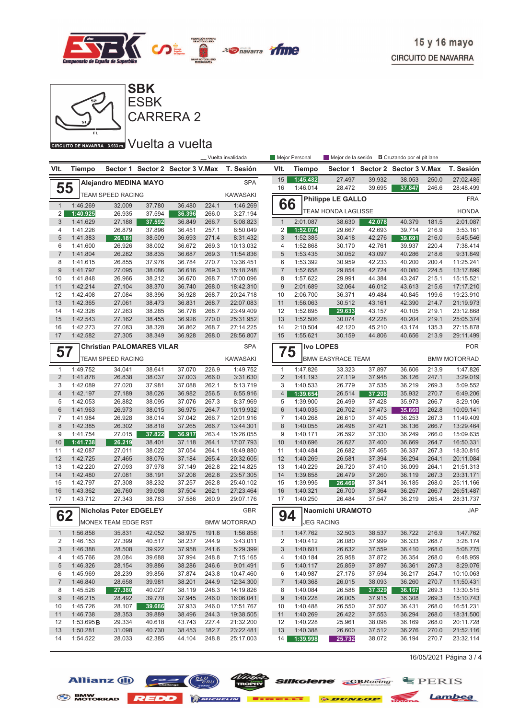



GIRGUITO DE NAVARRA 3.933 m. VUelta a vuelta

| _ Vuelta invalidada                                                                |                       |                                  |                  |                         |                     |                        | Mejor Personal      | Mejor de la sesión       | <b>B</b> Cruzando por el pit lane |                  |                                  |                |                        |
|------------------------------------------------------------------------------------|-----------------------|----------------------------------|------------------|-------------------------|---------------------|------------------------|---------------------|--------------------------|-----------------------------------|------------------|----------------------------------|----------------|------------------------|
| VIt.                                                                               | <b>Tiempo</b>         | Sector 1                         |                  | Sector 2 Sector 3 V.Max |                     | T. Sesión              | VIt.                | Tiempo                   |                                   |                  | Sector 1 Sector 2 Sector 3 V.Max |                | T. Sesión              |
|                                                                                    |                       | <b>Alejandro MEDINA MAYO</b>     |                  |                         |                     | <b>SPA</b>             | 15                  | 1:45.482                 | 27.497                            | 39.932           | 38.053                           | 250.0          | 27:02.485              |
| 55                                                                                 |                       |                                  |                  |                         |                     | <b>KAWASAKI</b>        | 16                  | 1:46.014                 | 28.472                            | 39.695           | 37.847                           | 246.6          | 28:48.499              |
| <b>TEAM SPEED RACING</b><br>$\mathbf{1}$<br>1:46.269<br>37.780<br>36.480<br>32.009 |                       |                                  |                  | 224.1                   | 1:46.269            | 66                     |                     | <b>Philippe LE GALLO</b> |                                   |                  |                                  | <b>FRA</b>     |                        |
| 2                                                                                  | 1:40.925              | 26.935                           | 37.594           | 36.396                  | 266.0               | 3:27.194               |                     |                          | <b>TEAM HONDA LAGLISSE</b>        |                  |                                  |                | <b>HONDA</b>           |
| 3                                                                                  | 1:41.629              | 27.188                           | 37.592           | 36.849                  | 266.7               | 5:08.823               | $\mathbf{1}$        | 2:01.087                 | 38.630                            | 42.078           | 40.379                           | 181.5          | 2:01.087               |
| 4                                                                                  | 1:41.226              | 26.879                           | 37.896           | 36.451                  | 257.1               | 6:50.049               | $\overline{2}$      | 1:52.074                 | 29.667                            | 42.693           | 39.714                           | 216.9          | 3:53.161               |
| 5                                                                                  | 1:41.383              | 26.181                           | 38.509           | 36.693                  | 271.4               | 8:31.432               | 3                   | 1:52.385                 | 30.418                            | 42.276           | 39.691                           | 216.0          | 5:45.546               |
| 6                                                                                  | 1:41.600              | 26.926                           | 38.002           | 36.672                  | 269.3               | 10:13.032              | 4                   | 1:52.868                 | 30.170                            | 42.761           | 39.937                           | 220.4          | 7:38.414               |
| $\overline{7}$                                                                     | 1:41.804              | 26.282                           | 38.835           | 36.687                  | 269.3               | 11:54.836              | 5                   | 1:53.435                 | 30.052                            | 43.097           | 40.286                           | 218.6          | 9:31.849               |
| 8                                                                                  | 1:41.615              | 26.855                           | 37.976           | 36.784                  | 270.7               | 13:36.451              | 6                   | 1:53.392                 | 30.959                            | 42.233           | 40.200                           | 200.4          | 11:25.241              |
| 9                                                                                  | 1:41.797              | 27.095                           | 38.086           | 36.616                  | 269.3               | 15:18.248              | $\overline{7}$      | 1:52.658                 | 29.854                            | 42.724           | 40.080                           | 224.5          | 13:17.899              |
| 10                                                                                 | 1:41.848              | 26.966                           | 38.212           | 36.670                  | 268.7               | 17:00.096              | 8                   | 1:57.622                 | 29.991                            | 44.384           | 43.247                           | 215.1          | 15:15.521              |
| 11                                                                                 | 1:42.214              | 27.104                           | 38.370           | 36.740                  | 268.0               | 18:42.310              | $\boldsymbol{9}$    | 2:01.689                 | 32.064                            | 46.012           | 43.613                           | 215.6          | 17:17.210              |
| 12                                                                                 | 1:42.408              | 27.084                           | 38.396           | 36.928                  | 268.7               | 20:24.718              | 10                  | 2:06.700                 | 36.371                            | 49.484           | 40.845                           | 199.6          | 19:23.910              |
| 13                                                                                 | 1:42.365              | 27.061                           | 38.473           | 36.831                  | 268.7               | 22:07.083              | 11                  | 1:56.063                 | 30.512                            | 43.161           | 42.390                           | 214.7          | 21:19.973              |
| 14<br>15                                                                           | 1:42.326<br>1:42.543  | 27.263                           | 38.285           | 36.778                  | 268.7<br>270.0      | 23:49.409              | 12<br>13            | 1:52.895                 | 29.633<br>30.074                  | 43.157           | 40.105<br>40.204                 | 219.1<br>219.1 | 23:12.868              |
| 16                                                                                 | 1:42.273              | 27.162<br>27.083                 | 38.455<br>38.328 | 36.926<br>36.862        | 268.7               | 25:31.952<br>27:14.225 | 14                  | 1:52.506<br>2:10.504     | 42.120                            | 42.228<br>45.210 | 43.174                           | 135.3          | 25:05.374<br>27:15.878 |
| 17                                                                                 | 1:42.582              | 27.305                           | 38.349           | 36.928                  | 268.0               | 28:56.807              | 15                  | 1:55.621                 | 30.159                            | 44.806           | 40.656                           | 213.9          | 29:11.499              |
|                                                                                    |                       | <b>Christian PALOMARES VILAR</b> |                  |                         |                     | <b>SPA</b>             |                     | <b>Ivo LOPES</b>         |                                   |                  |                                  |                | <b>POR</b>             |
| 57                                                                                 |                       |                                  |                  |                         |                     |                        | 75                  |                          |                                   |                  |                                  |                |                        |
|                                                                                    |                       | <b>TEAM SPEED RACING</b>         |                  |                         |                     | <b>KAWASAKI</b>        |                     |                          | <b>BMW EASYRACE TEAM</b>          |                  |                                  |                | <b>BMW MOTORRAD</b>    |
| 1                                                                                  | 1:49.752              | 34.041                           | 38.641           | 37.070                  | 226.9               | 1:49.752               | $\mathbf{1}$        | 1:47.826                 | 33.323                            | 37.897           | 36.606                           | 213.9          | 1:47.826               |
| $\overline{2}$                                                                     | 1:41.878              | 26.838                           | 38.037           | 37.003                  | 266.0               | 3:31.630               | $\overline{2}$      | 1:41.193                 | 27.119                            | 37.948           | 36.126                           | 247.1          | 3:29.019               |
| 3                                                                                  | 1:42.089              | 27.020                           | 37.981           | 37.088                  | 262.1               | 5:13.719               | 3                   | 1:40.533                 | 26.779                            | 37.535           | 36.219                           | 269.3          | 5:09.552               |
| $\overline{4}$                                                                     | 1:42.197              | 27.189                           | 38.026           | 36.982                  | 256.5               | 6:55.916               | $\overline{4}$      | 1:39.654                 | 26.514                            | 37.208           | 35.932                           | 270.7          | 6:49.206               |
| 5                                                                                  | 1:42.053              | 26.882                           | 38.095           | 37.076                  | 267.3               | 8:37.969               | 5                   | 1:39.900                 | 26.499                            | 37.428           | 35.973                           | 266.7          | 8:29.106               |
| $6\phantom{.}$                                                                     | 1:41.963              | 26.973                           | 38.015           | 36.975                  | 264.7               | 10:19.932              | 6                   | 1:40.035                 | 26.702                            | 37.473           | 35.860                           | 262.8          | 10:09.141              |
| $\overline{7}$<br>8                                                                | 1:41.984<br>1:42.385  | 26.928<br>26.302                 | 38.014<br>38.818 | 37.042<br>37.265        | 266.7<br>266.7      | 12:01.916              | $\overline{7}$<br>8 | 1:40.268                 | 26.610<br>26.498                  | 37.405<br>37.421 | 36.253<br>36.136                 | 267.3<br>266.7 | 11:49.409<br>13:29.464 |
| 9                                                                                  | 1:41.754              | 27.015                           | 37.822           | 36.917                  | 263.4               | 13:44.301<br>15:26.055 | 9                   | 1:40.055<br>1:40.171     | 26.592                            | 37.330           | 36.249                           | 266.0          | 15:09.635              |
| 10                                                                                 | 1:41.738              | 26.219                           | 38.401           | 37.118                  | 264.1               | 17:07.793              | 10                  | 1:40.696                 | 26.627                            | 37.400           | 36.669                           | 264.7          | 16:50.331              |
| 11                                                                                 | 1:42.087              | 27.011                           | 38.022           | 37.054                  | 264.1               | 18:49.880              | 11                  | 1:40.484                 | 26.682                            | 37.465           | 36.337                           | 267.3          | 18:30.815              |
| 12                                                                                 | 1:42.725              | 27.465                           | 38.076           | 37.184                  | 265.4               | 20:32.605              | 12                  | 1:40.269                 | 26.581                            | 37.394           | 36.294                           | 264.1          | 20:11.084              |
| 13                                                                                 | 1:42.220              | 27.093                           | 37.978           | 37.149                  | 262.8               | 22:14.825              | 13                  | 1:40.229                 | 26.720                            | 37.410           | 36.099                           | 264.1          | 21:51.313              |
| 14                                                                                 | 1:42.480              | 27.081                           | 38.191           | 37.208                  | 262.8               | 23:57.305              | 14                  | 1:39.858                 | 26.479                            | 37.260           | 36.119                           | 267.3          | 23:31.171              |
| 15                                                                                 | 1:42.797              | 27.308                           | 38.232           | 37.257                  | 262.8               | 25:40.102              | 15                  | 1:39.995                 | 26.469                            | 37.341           | 36.185                           | 268.0          | 25:11.166              |
| 16                                                                                 | 1:43.362              | 26.760                           | 39.098           | 37.504                  | 262.1               | 27:23.464              | 16                  | 1:40.321                 | 26.700                            | 37.364           | 36.257                           | 266.7          | 26:51.487              |
| 17                                                                                 | 1:43.712              | 27.343                           | 38.783           | 37.586                  | 260.9               | 29:07.176              | 17                  | 1:40.250                 | 26.484                            | 37.547           | 36.219                           | 265.4          | 28:31.737              |
|                                                                                    |                       | <b>Nicholas Peter EDGELEY</b>    |                  |                         |                     | <b>GBR</b>             |                     |                          | <b>Naomichi URAMOTO</b>           |                  |                                  |                | <b>JAP</b>             |
| 62<br>MONEX TEAM EDGE RST                                                          |                       |                                  |                  |                         | <b>BMW MOTORRAD</b> | 94                     |                     | <b>JEG RACING</b>        |                                   |                  |                                  |                |                        |
| $\mathbf{1}$                                                                       | 1:56.858              | 35.831                           | 42.052           | 38.975                  | 191.8               | 1:56.858               | $\mathbf{1}$        | 1:47.762                 | 32.503                            | 38.537           | 36.722                           | 216.9          | 1:47.762               |
| 2                                                                                  | 1:46.153              | 27.399                           | 40.517           | 38.237                  | 244.9               | 3:43.011               | $\overline{c}$      | 1:40.412                 | 26.080                            | 37.999           | 36.333                           | 268.7          | 3:28.174               |
| 3                                                                                  | 1:46.388              | 28.508                           | 39.922           | 37.958                  | 241.6               | 5:29.399               | $\sqrt{3}$          | 1:40.601                 | 26.632                            | 37.559           | 36.410                           | 268.0          | 5:08.775               |
| 4                                                                                  | 1:45.766              | 28.084                           | 39.688           | 37.994                  | 248.8               | 7:15.165               | 4                   | 1:40.184                 | 25.958                            | 37.872           | 36.354                           | 268.0          | 6:48.959               |
| 5                                                                                  | 1:46.326              | 28.154                           | 39.886           | 38.286                  | 246.6               | 9:01.491               | 5                   | 1:40.117                 | 25.859                            | 37.897           | 36.361                           | 267.3          | 8:29.076               |
| 6                                                                                  | 1:45.969              | 28.239                           | 39.856           | 37.874                  | 243.8               | 10:47.460              | 6                   | 1:40.987                 | 27.176                            | 37.594           | 36.217                           | 254.7          | 10:10.063              |
| 7                                                                                  | 1:46.840              | 28.658                           | 39.981           | 38.201                  | 244.9               | 12:34.300              | $\overline{7}$      | 1:40.368                 | 26.015                            | 38.093           | 36.260                           | 270.7          | 11:50.431              |
| 8                                                                                  | 1:45.526              | 27.380                           | 40.027           | 38.119                  | 248.3               | 14:19.826              | 8                   | 1:40.084                 | 26.588                            | 37.329           | 36.167                           | 269.3          | 13:30.515              |
| 9                                                                                  | 1:46.215              | 28.492                           | 39.778           | 37.945                  | 246.0               | 16:06.041              | 9                   | 1:40.228                 | 26.005                            | 37.915           | 36.308                           | 269.3          | 15:10.743              |
| 10                                                                                 | 1:45.726              | 28.107                           | 39.686           | 37.933                  | 246.0               | 17:51.767              | 10                  | 1:40.488                 | 26.550                            | 37.507           | 36.431                           | 268.0          | 16:51.231              |
| 11                                                                                 | 1:46.738              | 28.353                           | 39.889           | 38.496                  | 244.3               | 19:38.505              | 11                  | 1:40.269                 | 26.422                            | 37.553           | 36.294                           | 268.0          | 18:31.500              |
| 12<br>13                                                                           | 1:53.695B<br>1:50.281 | 29.334<br>31.098                 | 40.618<br>40.730 | 43.743<br>38.453        | 227.4<br>182.7      | 21:32.200<br>23:22.481 | 12<br>13            | 1:40.228<br>1:40.388     | 25.961<br>26.600                  | 38.098<br>37.512 | 36.169<br>36.276                 | 268.0<br>270.0 | 20:11.728<br>21:52.116 |
| 14                                                                                 | 1:54.522              | 28.033                           | 42.385           | 44.104                  | 248.8               | 25:17.003              | 14                  | 1:39.998                 | 25.732                            | 38.072           | 36.194                           | 270.7          | 23:32.114              |
|                                                                                    |                       |                                  |                  |                         |                     |                        |                     |                          |                                   |                  |                                  |                |                        |

 $16/05/2021$  Página 3 / 4



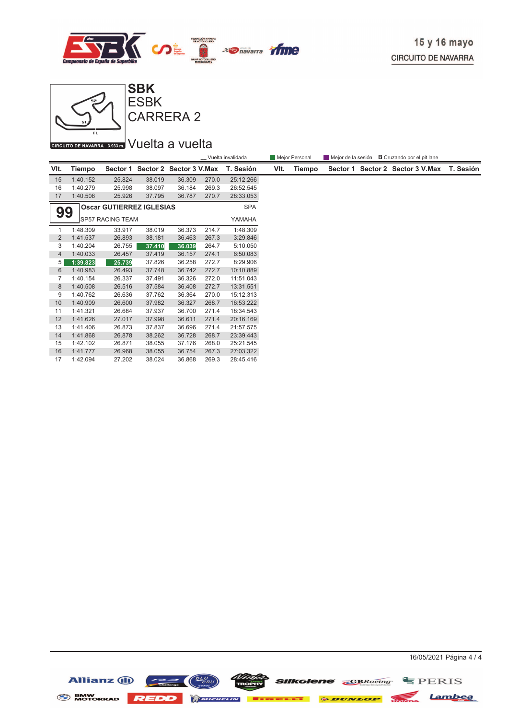



CIRCUITO DE NAVARRA 3.933 m. VUEIta a vuelta

|                                                     |               |          |          |                |       | _ Vuelta invalidada |      | Mejor Personal | Mejor de la sesión <b>B</b> Cruzando por el pit lane |                                  |           |
|-----------------------------------------------------|---------------|----------|----------|----------------|-------|---------------------|------|----------------|------------------------------------------------------|----------------------------------|-----------|
| VIt.                                                | <b>Tiempo</b> | Sector 1 | Sector 2 | Sector 3 V.Max |       | T. Sesión           | VIt. | Tiempo         |                                                      | Sector 1 Sector 2 Sector 3 V.Max | T. Sesión |
| 15                                                  | 1:40.152      | 25.824   | 38.019   | 36.309         | 270.0 | 25:12.266           |      |                |                                                      |                                  |           |
| 16                                                  | 1:40.279      | 25.998   | 38.097   | 36.184         | 269.3 | 26:52.545           |      |                |                                                      |                                  |           |
| 17                                                  | 1:40.508      | 25.926   | 37.795   | 36.787         | 270.7 | 28:33.053           |      |                |                                                      |                                  |           |
| <b>Oscar GUTIERREZ IGLESIAS</b><br><b>SPA</b><br>99 |               |          |          |                |       |                     |      |                |                                                      |                                  |           |
| <b>SP57 RACING TEAM</b><br>YAMAHA                   |               |          |          |                |       |                     |      |                |                                                      |                                  |           |
|                                                     | 1:48.309      | 33.917   | 38.019   | 36.373         | 214.7 | 1:48.309            |      |                |                                                      |                                  |           |
| 2                                                   | 1:41.537      | 26.893   | 38.181   | 36.463         | 267.3 | 3:29.846            |      |                |                                                      |                                  |           |
| 3                                                   | 1:40.204      | 26.755   | 37.410   | 36.039         | 264.7 | 5:10.050            |      |                |                                                      |                                  |           |
| $\overline{4}$                                      | 1:40.033      | 26.457   | 37.419   | 36.157         | 274.1 | 6:50.083            |      |                |                                                      |                                  |           |
| 5                                                   | 1:39.823      | 25.739   | 37.826   | 36.258         | 272.7 | 8:29.906            |      |                |                                                      |                                  |           |
| 6                                                   | 1:40.983      | 26.493   | 37.748   | 36.742         | 272.7 | 10:10.889           |      |                |                                                      |                                  |           |
| 7                                                   | 1:40.154      | 26.337   | 37.491   | 36.326         | 272.0 | 11:51.043           |      |                |                                                      |                                  |           |
| 8                                                   | 1:40.508      | 26.516   | 37.584   | 36.408         | 272.7 | 13:31.551           |      |                |                                                      |                                  |           |
| 9                                                   | 1:40.762      | 26.636   | 37.762   | 36.364         | 270.0 | 15:12.313           |      |                |                                                      |                                  |           |
| 10                                                  | 1:40.909      | 26.600   | 37.982   | 36.327         | 268.7 | 16:53.222           |      |                |                                                      |                                  |           |
| 11                                                  | 1:41.321      | 26.684   | 37.937   | 36.700         | 271.4 | 18:34.543           |      |                |                                                      |                                  |           |
| 12                                                  | 1:41.626      | 27.017   | 37.998   | 36.611         | 271.4 | 20:16.169           |      |                |                                                      |                                  |           |
| 13                                                  | 1:41.406      | 26.873   | 37.837   | 36.696         | 271.4 | 21:57.575           |      |                |                                                      |                                  |           |
| 14                                                  | 1:41.868      | 26.878   | 38.262   | 36.728         | 268.7 | 23:39.443           |      |                |                                                      |                                  |           |
| 15                                                  | 1:42.102      | 26.871   | 38.055   | 37.176         | 268.0 | 25:21.545           |      |                |                                                      |                                  |           |
| 16                                                  | 1:41.777      | 26.968   | 38.055   | 36.754         | 267.3 | 27:03.322           |      |                |                                                      |                                  |           |
| 17                                                  | 1:42.094      | 27.202   | 38.024   | 36.868         | 269.3 | 28:45.416           |      |                |                                                      |                                  |           |

Allianz (i)  $\left(\frac{\sqrt{L}U}{cRU}\right)$   $\left(\frac{DUV}{cRU}\right)$  sukolene  $\sum_{\text{GBRacing}}$   $\equiv$  PERIS BMW NOTORRAD REDD MINIMUM EXECUTE & DUNLOP NOTION Lambea

16/05/2021 Página 4 / 4